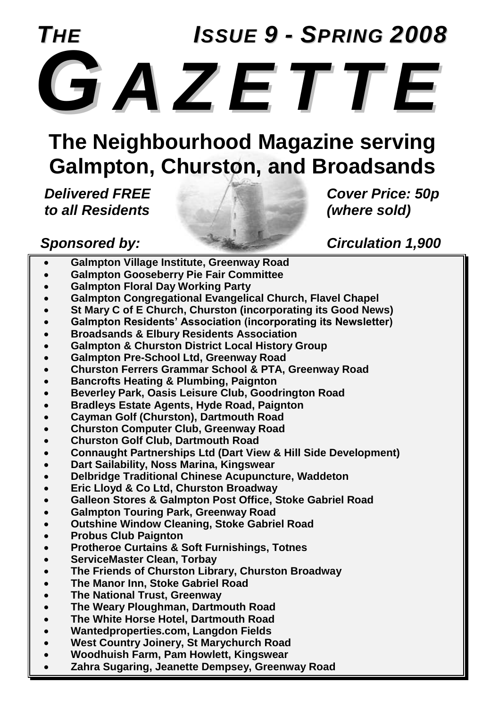# *THE ISSUE 9 - SPRING 2008 GA Z E T T E*

# **The Neighbourhood Magazine serving Galmpton, Churston, and Broadsands**

*to all Residents (where sold)*

*Delivered FREE Cover Price: 50p*

### *Sponsored by: Circulation 1,900*

- **Galmpton Village Institute, Greenway Road**
- **Galmpton Gooseberry Pie Fair Committee**
- **Galmpton Floral Day Working Party**
- **Galmpton Congregational Evangelical Church, Flavel Chapel**
- **St Mary C of E Church, Churston (incorporating its Good News)**
- **Galmpton Residents' Association (incorporating its Newsletter)**
- **Broadsands & Elbury Residents Association**
- **Galmpton & Churston District Local History Group**
- **Galmpton Pre-School Ltd, Greenway Road**
- **Churston Ferrers Grammar School & PTA, Greenway Road**
- **Bancrofts Heating & Plumbing, Paignton**
- **Beverley Park, Oasis Leisure Club, Goodrington Road**
- **Bradleys Estate Agents, Hyde Road, Paignton**
- **Cayman Golf (Churston), Dartmouth Road**
- **Churston Computer Club, Greenway Road**
- **Churston Golf Club, Dartmouth Road**
- **Connaught Partnerships Ltd (Dart View & Hill Side Development)**
- **Dart Sailability, Noss Marina, Kingswear**
- **Delbridge Traditional Chinese Acupuncture, Waddeton**
- **Eric Lloyd & Co Ltd, Churston Broadway**
- **Galleon Stores & Galmpton Post Office, Stoke Gabriel Road**
- **Galmpton Touring Park, Greenway Road**
- **Outshine Window Cleaning, Stoke Gabriel Road**
- **Probus Club Paignton**
- **Protheroe Curtains & Soft Furnishings, Totnes**
- **ServiceMaster Clean, Torbay**
- **The Friends of Churston Library, Churston Broadway**
- **The Manor Inn, Stoke Gabriel Road**
- **The National Trust, Greenway**
- **The Weary Ploughman, Dartmouth Road**
- **The White Horse Hotel, Dartmouth Road**
- **Wantedproperties.com, Langdon Fields**
- **West Country Joinery, St Marychurch Road**
- **Woodhuish Farm, Pam Howlett, Kingswear**
- **Zahra Sugaring, Jeanette Dempsey, Greenway Road**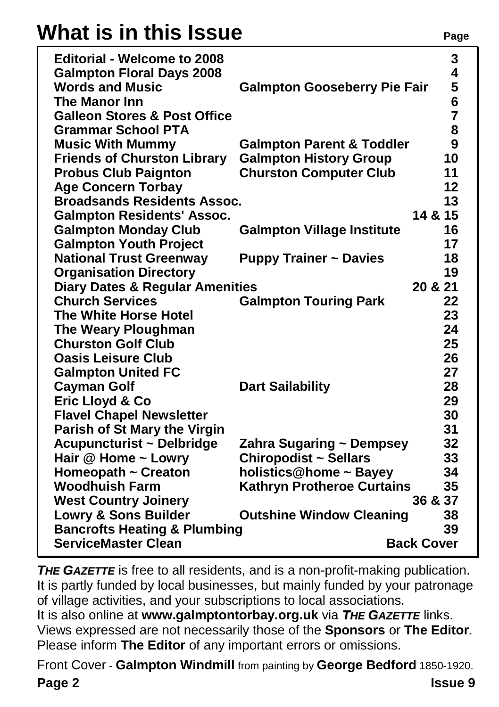# **What is in this Issue Page 19th Page**

| <b>Editorial - Welcome to 2008</b>         |                                      | 3                 |
|--------------------------------------------|--------------------------------------|-------------------|
| <b>Galmpton Floral Days 2008</b>           |                                      | 4                 |
| <b>Words and Music</b><br>The Manor Inn    | <b>Galmpton Gooseberry Pie Fair</b>  | 5<br>6<br>7       |
| <b>Galleon Stores &amp; Post Office</b>    |                                      |                   |
| <b>Grammar School PTA</b>                  |                                      | 8                 |
| <b>Music With Mummy</b>                    | <b>Galmpton Parent &amp; Toddler</b> | 9                 |
| <b>Friends of Churston Library</b>         | <b>Galmpton History Group</b>        | 10                |
| <b>Probus Club Paignton</b>                | <b>Churston Computer Club</b>        | 11                |
| <b>Age Concern Torbay</b>                  |                                      | 12                |
| <b>Broadsands Residents Assoc.</b>         |                                      | 13                |
| <b>Galmpton Residents' Assoc.</b>          |                                      | 14 & 15           |
| <b>Galmpton Monday Club</b>                | <b>Galmpton Village Institute</b>    | 16                |
| <b>Galmpton Youth Project</b>              |                                      | 17                |
| <b>National Trust Greenway</b>             | <b>Puppy Trainer ~ Davies</b>        | 18                |
| <b>Organisation Directory</b>              |                                      | 19                |
| <b>Diary Dates &amp; Regular Amenities</b> |                                      | 20 & 21           |
| <b>Church Services</b>                     | <b>Galmpton Touring Park</b>         | 22                |
| The White Horse Hotel                      |                                      | 23                |
| <b>The Weary Ploughman</b>                 |                                      | 24                |
| <b>Churston Golf Club</b>                  |                                      | 25                |
| <b>Oasis Leisure Club</b>                  |                                      | 26                |
| <b>Galmpton United FC</b>                  |                                      | 27                |
| <b>Cayman Golf</b>                         | <b>Dart Sailability</b>              | 28                |
| Eric Lloyd & Co                            |                                      | 29                |
| <b>Flavel Chapel Newsletter</b>            |                                      | 30                |
| Parish of St Mary the Virgin               |                                      | 31                |
| Acupuncturist ~ Delbridge                  | Zahra Sugaring ~ Dempsey             | 32                |
| Hair @ Home ~ Lowry                        | <b>Chiropodist ~ Sellars</b>         | 33                |
| Homeopath ~ Creaton                        | holistics@home ~ Bayey               | 34                |
| <b>Woodhuish Farm</b>                      | <b>Kathryn Protheroe Curtains</b>    | 35                |
| <b>West Country Joinery</b>                |                                      | 36 & 37           |
| <b>Lowry &amp; Sons Builder</b>            | <b>Outshine Window Cleaning</b>      | 38                |
| <b>Bancrofts Heating &amp; Plumbing</b>    |                                      | 39                |
| <b>ServiceMaster Clean</b>                 |                                      | <b>Back Cover</b> |

**THE GAZETTE** is free to all residents, and is a non-profit-making publication. It is partly funded by local businesses, but mainly funded by your patronage of village activities, and your subscriptions to local associations.

It is also online at **www.galmptontorbay.org.uk** via *THE GAZETTE* links. Views expressed are not necessarily those of the **Sponsors** or **The Editor**. Please inform **The Editor** of any important errors or omissions.

**Page 2 Issue 9** Front Cover - **Galmpton Windmill** from painting by **George Bedford** 1850-1920.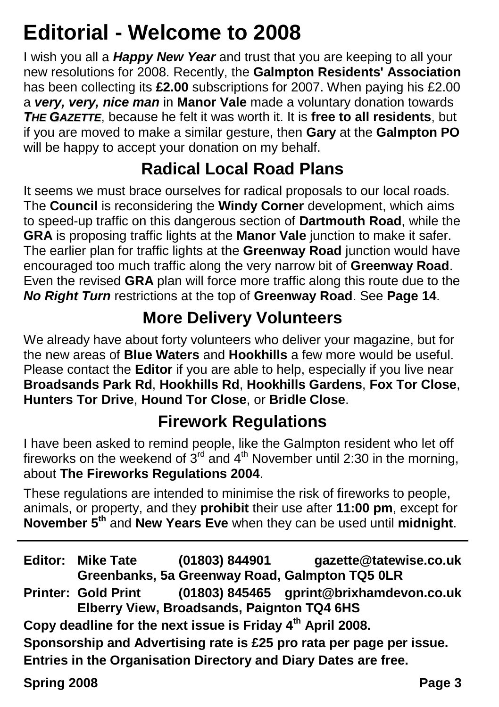# **Editorial - Welcome to 2008**

I wish you all a *Happy New Year* and trust that you are keeping to all your new resolutions for 2008. Recently, the **Galmpton Residents' Association** has been collecting its **£2.00** subscriptions for 2007. When paying his £2.00 a *very, very, nice man* in **Manor Vale** made a voluntary donation towards *THE GAZETTE*, because he felt it was worth it. It is **free to all residents**, but if you are moved to make a similar gesture, then **Gary** at the **Galmpton PO** will be happy to accept your donation on my behalf.

## **Radical Local Road Plans**

It seems we must brace ourselves for radical proposals to our local roads. The **Council** is reconsidering the **Windy Corner** development, which aims to speed-up traffic on this dangerous section of **Dartmouth Road**, while the **GRA** is proposing traffic lights at the **Manor Vale** junction to make it safer. The earlier plan for traffic lights at the **Greenway Road** junction would have encouraged too much traffic along the very narrow bit of **Greenway Road**. Even the revised **GRA** plan will force more traffic along this route due to the *No Right Turn* restrictions at the top of **Greenway Road**. See **Page 14**.

## **More Delivery Volunteers**

We already have about forty volunteers who deliver your magazine, but for the new areas of **Blue Waters** and **Hookhills** a few more would be useful. Please contact the **Editor** if you are able to help, especially if you live near **Broadsands Park Rd**, **Hookhills Rd**, **Hookhills Gardens**, **Fox Tor Close**, **Hunters Tor Drive**, **Hound Tor Close**, or **Bridle Close**.

## **Firework Regulations**

I have been asked to remind people, like the Galmpton resident who let off fireworks on the weekend of  $3<sup>rd</sup>$  and  $4<sup>th</sup>$  November until 2:30 in the morning. about **The Fireworks Regulations 2004**.

These regulations are intended to minimise the risk of fireworks to people, animals, or property, and they **prohibit** their use after **11:00 pm**, except for **November 5th** and **New Years Eve** when they can be used until **midnight**.

**Editor: Mike Tate (01803) 844901 gazette@tatewise.co.uk Greenbanks, 5a Greenway Road, Galmpton TQ5 0LR**

**Printer: Gold Print (01803) 845465 gprint@brixhamdevon.co.uk Elberry View, Broadsands, Paignton TQ4 6HS**

**Copy deadline for the next issue is Friday 4th April 2008.**

**Sponsorship and Advertising rate is £25 pro rata per page per issue. Entries in the Organisation Directory and Diary Dates are free.**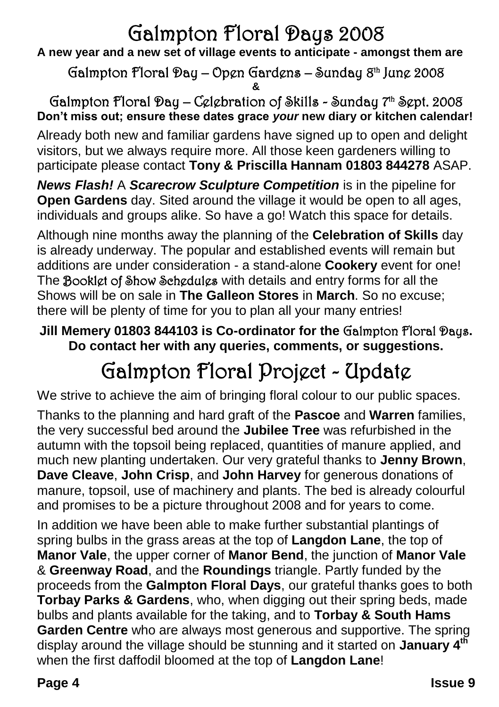# Galmpton Floral Days 2008

**A new year and a new set of village events to anticipate - amongst them are**

### Galmpton Floral Day – Open Gardens – Sunday 8th June 2008 **&**

### Galmpton Floral Day – Celebration of Skills - Sunday 7th Sept. 2008 **Don't miss out; ensure these dates grace** *your* **new diary or kitchen calendar!**

Already both new and familiar gardens have signed up to open and delight visitors, but we always require more. All those keen gardeners willing to participate please contact **Tony & Priscilla Hannam 01803 844278** ASAP.

*News Flash!* A *Scarecrow Sculpture Competition* is in the pipeline for **Open Gardens** day. Sited around the village it would be open to all ages, individuals and groups alike. So have a go! Watch this space for details.

Although nine months away the planning of the **Celebration of Skills** day is already underway. The popular and established events will remain but additions are under consideration - a stand-alone **Cookery** event for one! The Booklet of Show Schedules with details and entry forms for all the Shows will be on sale in **The Galleon Stores** in **March**. So no excuse; there will be plenty of time for you to plan all your many entries!

**Jill Memery 01803 844103 is Co-ordinator for the** Galmpton Floral Days**. Do contact her with any queries, comments, or suggestions.**

# Galmpton Floral Project - Update

We strive to achieve the aim of bringing floral colour to our public spaces.

Thanks to the planning and hard graft of the **Pascoe** and **Warren** families, the very successful bed around the **Jubilee Tree** was refurbished in the autumn with the topsoil being replaced, quantities of manure applied, and much new planting undertaken. Our very grateful thanks to **Jenny Brown**, **Dave Cleave**, **John Crisp**, and **John Harvey** for generous donations of manure, topsoil, use of machinery and plants. The bed is already colourful and promises to be a picture throughout 2008 and for years to come.

In addition we have been able to make further substantial plantings of spring bulbs in the grass areas at the top of **Langdon Lane**, the top of **Manor Vale**, the upper corner of **Manor Bend**, the junction of **Manor Vale** & **Greenway Road**, and the **Roundings** triangle. Partly funded by the proceeds from the **Galmpton Floral Days**, our grateful thanks goes to both **Torbay Parks & Gardens**, who, when digging out their spring beds, made bulbs and plants available for the taking, and to **Torbay & South Hams Garden Centre** who are always most generous and supportive. The spring display around the village should be stunning and it started on **January 4th** when the first daffodil bloomed at the top of **Langdon Lane**!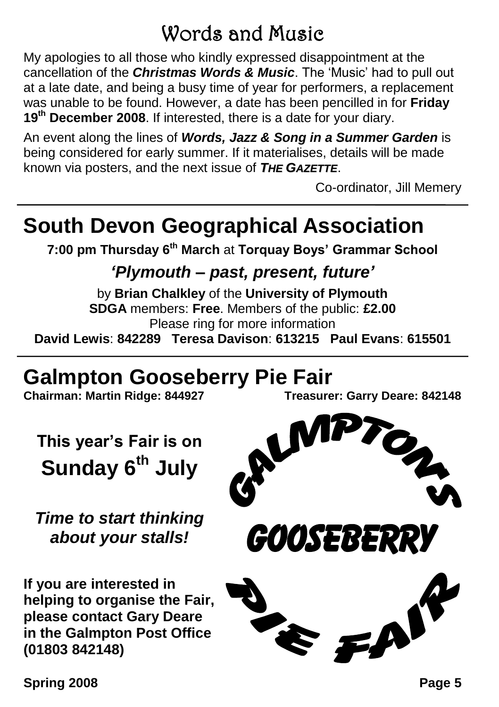# Words and Music

My apologies to all those who kindly expressed disappointment at the cancellation of the *Christmas Words & Music*. The 'Music' had to pull out at a late date, and being a busy time of year for performers, a replacement was unable to be found. However, a date has been pencilled in for **Friday 19th December 2008**. If interested, there is a date for your diary.

An event along the lines of *Words, Jazz & Song in a Summer Garden* is being considered for early summer. If it materialises, details will be made known via posters, and the next issue of *THE GAZETTE*.

Co-ordinator, Jill Memery

# **South Devon Geographical Association**

**7:00 pm Thursday 6th March** at **Torquay Boys' Grammar School**

### *'Plymouth – past, present, future'*

by **Brian Chalkley** of the **University of Plymouth SDGA** members: **Free**. Members of the public: **£2.00** Please ring for more information **David Lewis**: **842289 Teresa Davison**: **613215 Paul Evans**: **615501**

# **Galmpton Gooseberry Pie Fair**<br>Chairman: Martin Ridge: 844927<br>Treasure

**This year's Fair is on Sunday 6th July**

*Time to start thinking about your stalls!*

**If you are interested in helping to organise the Fair, please contact Gary Deare in the Galmpton Post Office (01803 842148)**

**Chairman: Martin Ridge: 844927 Treasurer: Garry Deare: 842148**

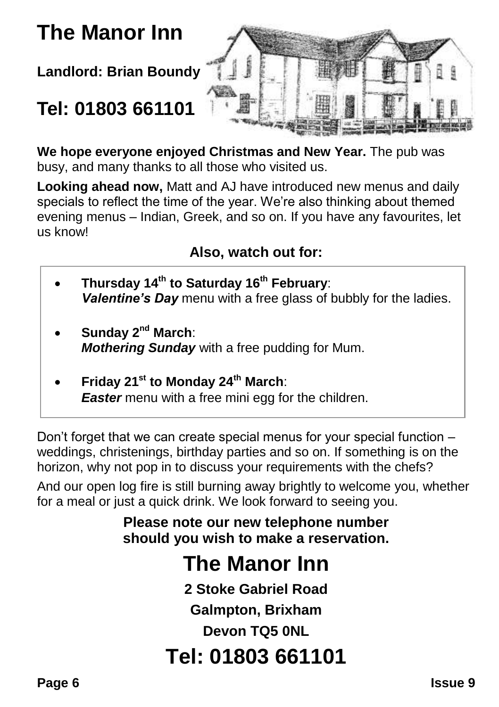# **The Manor Inn**

**Landlord: Brian Boundy**

# **Tel: 01803 661101**



**We hope everyone enjoyed Christmas and New Year.** The pub was busy, and many thanks to all those who visited us.

**Looking ahead now,** Matt and AJ have introduced new menus and daily specials to reflect the time of the year. We're also thinking about themed evening menus – Indian, Greek, and so on. If you have any favourites, let us know!

### **Also, watch out for:**

- **Thursday 14th to Saturday 16th February**: *Valentine's Day* menu with a free glass of bubbly for the ladies.
- **Sunday 2nd March**: *Mothering Sunday* with a free pudding for Mum.
- **Friday 21st to Monday 24th March**: *Easter* menu with a free mini egg for the children.

Don't forget that we can create special menus for your special function – weddings, christenings, birthday parties and so on. If something is on the horizon, why not pop in to discuss your requirements with the chefs?

And our open log fire is still burning away brightly to welcome you, whether for a meal or just a quick drink. We look forward to seeing you.

> **Please note our new telephone number should you wish to make a reservation.**

# **The Manor Inn**

**2 Stoke Gabriel Road**

**Galmpton, Brixham**

**Devon TQ5 0NL**

# **Tel: 01803 661101**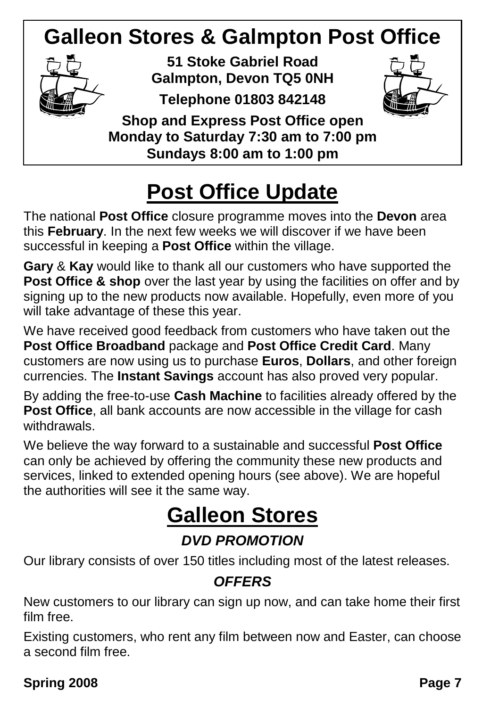# **Galleon Stores & Galmpton Post Office**



**51 Stoke Gabriel Road Galmpton, Devon TQ5 0NH Telephone 01803 842148**



**Shop and Express Post Office open Monday to Saturday 7:30 am to 7:00 pm Sundays 8:00 am to 1:00 pm**

# **Post Office Update**

The national **Post Office** closure programme moves into the **Devon** area this **February**. In the next few weeks we will discover if we have been successful in keeping a **Post Office** within the village.

**Gary** & **Kay** would like to thank all our customers who have supported the **Post Office & shop** over the last year by using the facilities on offer and by signing up to the new products now available. Hopefully, even more of you will take advantage of these this year.

We have received good feedback from customers who have taken out the **Post Office Broadband** package and **Post Office Credit Card**. Many customers are now using us to purchase **Euros**, **Dollars**, and other foreign currencies. The **Instant Savings** account has also proved very popular.

By adding the free-to-use **Cash Machine** to facilities already offered by the **Post Office**, all bank accounts are now accessible in the village for cash withdrawals.

We believe the way forward to a sustainable and successful **Post Office** can only be achieved by offering the community these new products and services, linked to extended opening hours (see above). We are hopeful the authorities will see it the same way.

# **Galleon Stores** *DVD PROMOTION*

Our library consists of over 150 titles including most of the latest releases.

### *OFFERS*

New customers to our library can sign up now, and can take home their first film free.

Existing customers, who rent any film between now and Easter, can choose a second film free.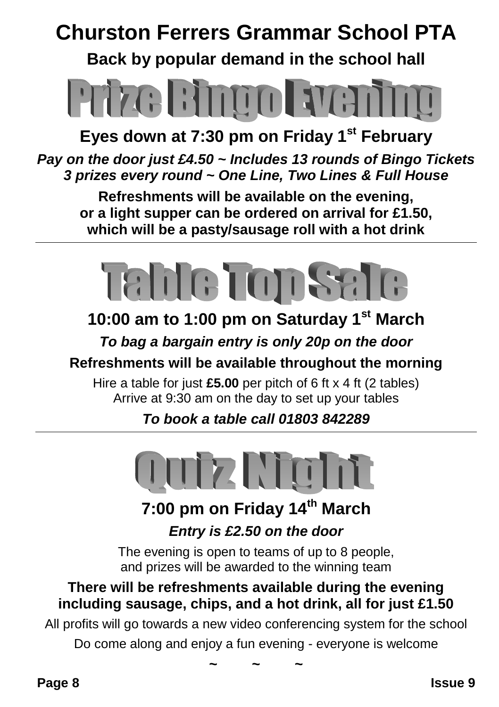# **Churston Ferrers Grammar School PTA**

**Back by popular demand in the school hall**



**Eyes down at 7:30 pm on Friday 1st February**

*Pay on the door just £4.50 ~ Includes 13 rounds of Bingo Tickets 3 prizes every round ~ One Line, Two Lines & Full House*

**Refreshments will be available on the evening, or a light supper can be ordered on arrival for £1.50, which will be a pasty/sausage roll with a hot drink**



### **10:00 am to 1:00 pm on Saturday 1st March** *To bag a bargain entry is only 20p on the door*

### **Refreshments will be available throughout the morning**

Hire a table for just **£5.00** per pitch of 6 ft x 4 ft (2 tables) Arrive at 9:30 am on the day to set up your tables

*To book a table call 01803 842289*

# **Quiz Maht**

### **7:00 pm on Friday 14th March** *Entry is £2.50 on the door*

The evening is open to teams of up to 8 people, and prizes will be awarded to the winning team

### **There will be refreshments available during the evening including sausage, chips, and a hot drink, all for just £1.50**

All profits will go towards a new video conferencing system for the school

Do come along and enjoy a fun evening - everyone is welcome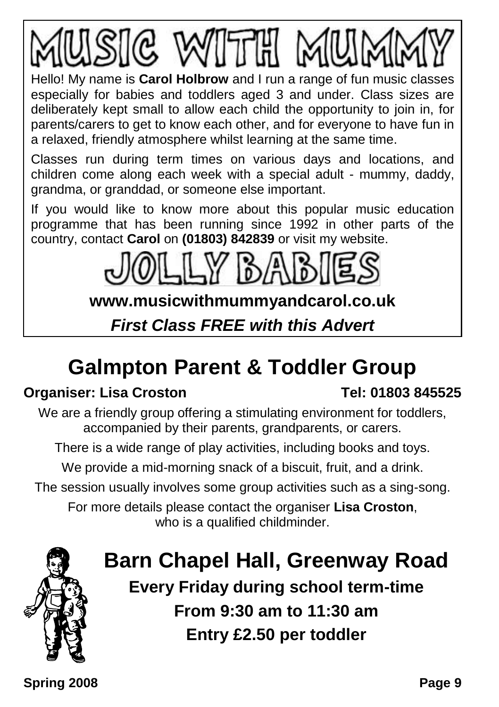Hello! My name is **Carol Holbrow** and I run a range of fun music classes especially for babies and toddlers aged 3 and under. Class sizes are deliberately kept small to allow each child the opportunity to join in, for parents/carers to get to know each other, and for everyone to have fun in a relaxed, friendly atmosphere whilst learning at the same time.

Classes run during term times on various days and locations, and children come along each week with a special adult - mummy, daddy, grandma, or granddad, or someone else important.

If you would like to know more about this popular music education programme that has been running since 1992 in other parts of the country, contact **Carol** on **(01803) 842839** or visit my website.



**www.musicwithmummyandcarol.co.uk**

*First Class FREE with this Advert*

# **Galmpton Parent & Toddler Group**

### **Organiser: Lisa Croston Tel: 01803 845525**

We are a friendly group offering a stimulating environment for toddlers, accompanied by their parents, grandparents, or carers.

There is a wide range of play activities, including books and toys.

We provide a mid-morning snack of a biscuit, fruit, and a drink.

The session usually involves some group activities such as a sing-song.

For more details please contact the organiser **Lisa Croston**, who is a qualified childminder.



# **Barn Chapel Hall, Greenway Road**

**Every Friday during school term-time From 9:30 am to 11:30 am Entry £2.50 per toddler**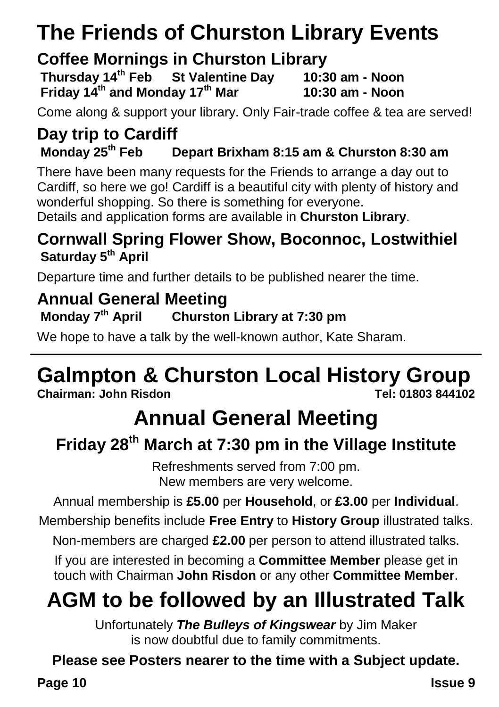# **The Friends of Churston Library Events**

## **Coffee Mornings in Churston Library**

**Thursday 14th Feb St Valentine Day 10:30 am - Noon Friday 14th and Monday 17th Mar 10:30 am - Noon**

Come along & support your library. Only Fair-trade coffee & tea are served!

### **Day trip to Cardiff**<br>Monday 25<sup>th</sup> Feb L **Monday 25th Feb Depart Brixham 8:15 am & Churston 8:30 am**

There have been many requests for the Friends to arrange a day out to Cardiff, so here we go! Cardiff is a beautiful city with plenty of history and wonderful shopping. So there is something for everyone.

Details and application forms are available in **Churston Library**.

### **Cornwall Spring Flower Show, Boconnoc, Lostwithiel Saturday 5th April**

Departure time and further details to be published nearer the time.

## **Annual General Meeting**

### **Monday 7th April Churston Library at 7:30 pm**

We hope to have a talk by the well-known author, Kate Sharam.

# **Galmpton & Churston Local History Group**

**Chairman: John Risdon Tel: 01803 844102**

# **Annual General Meeting**

# **Friday 28th March at 7:30 pm in the Village Institute**

Refreshments served from 7:00 pm. New members are very welcome.

Annual membership is **£5.00** per **Household**, or **£3.00** per **Individual**.

Membership benefits include **Free Entry** to **History Group** illustrated talks.

Non-members are charged **£2.00** per person to attend illustrated talks.

If you are interested in becoming a **Committee Member** please get in touch with Chairman **John Risdon** or any other **Committee Member**.

# **AGM to be followed by an Illustrated Talk**

Unfortunately *The Bulleys of Kingswear* by Jim Maker is now doubtful due to family commitments.

### **Please see Posters nearer to the time with a Subject update.**

**Page 10 Issue 9**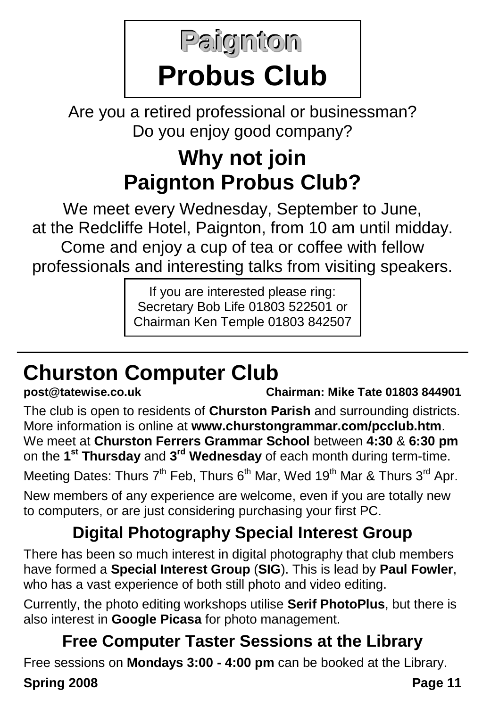**Paiignton**

# **Probus Club**

Are you a retired professional or businessman? Do you enjoy good company?

# **Why not join Paignton Probus Club?**

We meet every Wednesday, September to June, at the Redcliffe Hotel, Paignton, from 10 am until midday. Come and enjoy a cup of tea or coffee with fellow professionals and interesting talks from visiting speakers.

> If you are interested please ring: Secretary Bob Life 01803 522501 or Chairman Ken Temple 01803 842507

# **Churston Computer Club**

**post@tatewise.co.uk Chairman: Mike Tate 01803 844901**

The club is open to residents of **Churston Parish** and surrounding districts. More information is online at **www.churstongrammar.com/pcclub.htm**. We meet at **Churston Ferrers Grammar School** between **4:30** & **6:30 pm** on the **1 st Thursday** and **3 rd Wednesday** of each month during term-time.

Meeting Dates: Thurs  $7<sup>th</sup>$  Feb, Thurs  $6<sup>th</sup>$  Mar, Wed 19<sup>th</sup> Mar & Thurs 3<sup>rd</sup> Apr.

New members of any experience are welcome, even if you are totally new to computers, or are just considering purchasing your first PC.

# **Digital Photography Special Interest Group**

There has been so much interest in digital photography that club members have formed a **Special Interest Group** (**SIG**). This is lead by **Paul Fowler**, who has a vast experience of both still photo and video editing.

Currently, the photo editing workshops utilise **Serif PhotoPlus**, but there is also interest in **Google Picasa** for photo management.

# **Free Computer Taster Sessions at the Library**

Free sessions on **Mondays 3:00 - 4:00 pm** can be booked at the Library.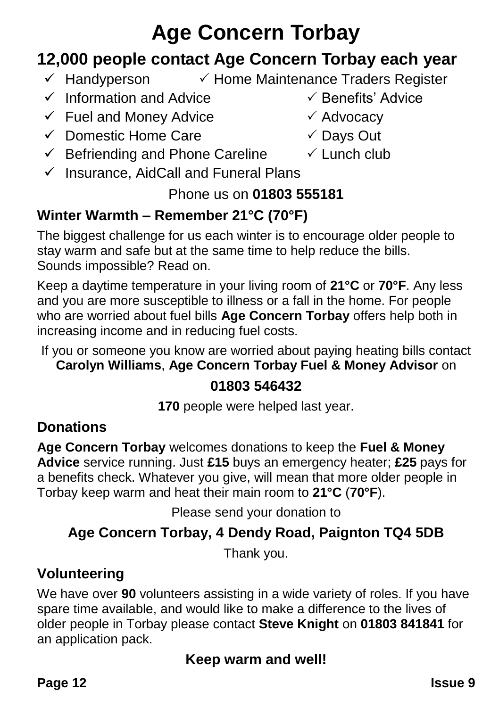# **Age Concern Torbay**

# **12,000 people contact Age Concern Torbay each year**

- $\checkmark$  Handyperson  $\checkmark$  Home Maintenance Traders Register
- $\checkmark$  Information and Advice  $\checkmark$  Benefits' Advice
- $\checkmark$  Fuel and Money Advice  $\checkmark$  Advocacy
- $\checkmark$  Domestic Home Care  $\checkmark$  Days Out
- $\checkmark$  Befriending and Phone Careline  $\checkmark$  Lunch club
- $\checkmark$  Insurance, AidCall and Funeral Plans

### Phone us on **01803 555181**

### **Winter Warmth – Remember 21°C (70°F)**

The biggest challenge for us each winter is to encourage older people to stay warm and safe but at the same time to help reduce the bills. Sounds impossible? Read on.

Keep a daytime temperature in your living room of **21°C** or **70°F**. Any less and you are more susceptible to illness or a fall in the home. For people who are worried about fuel bills **Age Concern Torbay** offers help both in increasing income and in reducing fuel costs.

If you or someone you know are worried about paying heating bills contact **Carolyn Williams**, **Age Concern Torbay Fuel & Money Advisor** on

### **01803 546432**

**170** people were helped last year.

### **Donations**

**Age Concern Torbay** welcomes donations to keep the **Fuel & Money Advice** service running. Just **£15** buys an emergency heater; **£25** pays for a benefits check. Whatever you give, will mean that more older people in Torbay keep warm and heat their main room to **21°C** (**70°F**).

Please send your donation to

### **Age Concern Torbay, 4 Dendy Road, Paignton TQ4 5DB**

Thank you.

### **Volunteering**

We have over **90** volunteers assisting in a wide variety of roles. If you have spare time available, and would like to make a difference to the lives of older people in Torbay please contact **Steve Knight** on **01803 841841** for an application pack.

### **Keep warm and well!**

- 
- 
-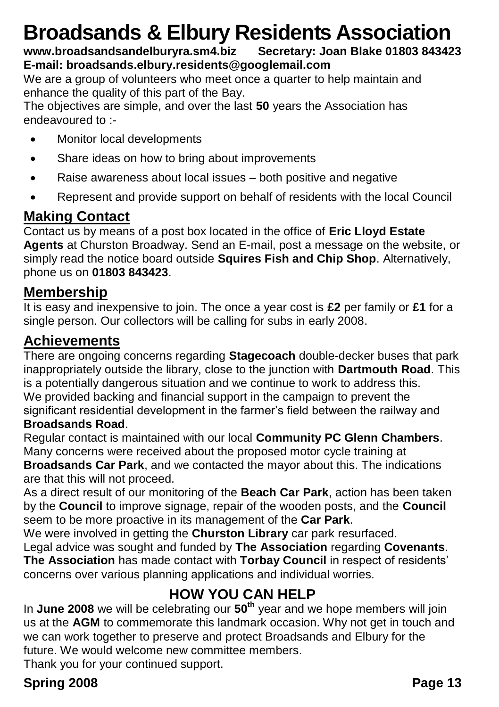# **Broadsands & Elbury Residents Association**

**www.broadsandsandelburyra.sm4.biz Secretary: Joan Blake 01803 843423**

### **E-mail: broadsands.elbury.residents@googlemail.com**

We are a group of volunteers who meet once a quarter to help maintain and enhance the quality of this part of the Bay.

The objectives are simple, and over the last **50** years the Association has endeavoured to :-

- Monitor local developments
- Share ideas on how to bring about improvements
- Raise awareness about local issues both positive and negative
- Represent and provide support on behalf of residents with the local Council

### **Making Contact**

Contact us by means of a post box located in the office of **Eric Lloyd Estate Agents** at Churston Broadway. Send an E-mail, post a message on the website, or simply read the notice board outside **Squires Fish and Chip Shop**. Alternatively, phone us on **01803 843423**.

### **Membership**

It is easy and inexpensive to join. The once a year cost is **£2** per family or **£1** for a single person. Our collectors will be calling for subs in early 2008.

### **Achievements**

There are ongoing concerns regarding **Stagecoach** double-decker buses that park inappropriately outside the library, close to the junction with **Dartmouth Road**. This is a potentially dangerous situation and we continue to work to address this. We provided backing and financial support in the campaign to prevent the significant residential development in the farmer's field between the railway and

### **Broadsands Road**.

Regular contact is maintained with our local **Community PC Glenn Chambers**. Many concerns were received about the proposed motor cycle training at

**Broadsands Car Park**, and we contacted the mayor about this. The indications are that this will not proceed.

As a direct result of our monitoring of the **Beach Car Park**, action has been taken by the **Council** to improve signage, repair of the wooden posts, and the **Council** seem to be more proactive in its management of the **Car Park**.

We were involved in getting the **Churston Library** car park resurfaced.

Legal advice was sought and funded by **The Association** regarding **Covenants**. **The Association** has made contact with **Torbay Council** in respect of residents' concerns over various planning applications and individual worries.

### **HOW YOU CAN HELP**

In **June 2008** we will be celebrating our **50th** year and we hope members will join us at the **AGM** to commemorate this landmark occasion. Why not get in touch and we can work together to preserve and protect Broadsands and Elbury for the future. We would welcome new committee members.

Thank you for your continued support.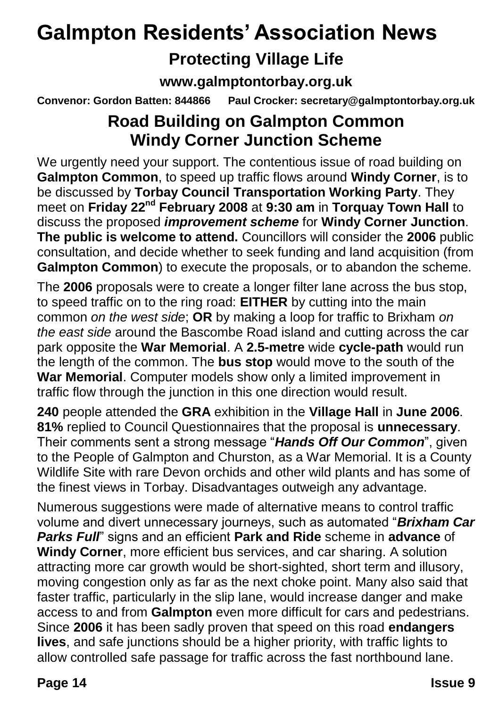# **Galmpton Residents' Association News Protecting Village Life**

**www.galmptontorbay.org.uk**

**Convenor: Gordon Batten: 844866 Paul Crocker: secretary@galmptontorbay.org.uk**

### **Road Building on Galmpton Common Windy Corner Junction Scheme**

We urgently need your support. The contentious issue of road building on **Galmpton Common**, to speed up traffic flows around **Windy Corner**, is to be discussed by **Torbay Council Transportation Working Party**. They meet on **Friday 22nd February 2008** at **9:30 am** in **Torquay Town Hall** to discuss the proposed *improvement scheme* for **Windy Corner Junction**. **The public is welcome to attend.** Councillors will consider the **2006** public consultation, and decide whether to seek funding and land acquisition (from **Galmpton Common**) to execute the proposals, or to abandon the scheme.

The **2006** proposals were to create a longer filter lane across the bus stop, to speed traffic on to the ring road: **EITHER** by cutting into the main common *on the west side*; **OR** by making a loop for traffic to Brixham *on the east side* around the Bascombe Road island and cutting across the car park opposite the **War Memorial**. A **2.5-metre** wide **cycle-path** would run the length of the common. The **bus stop** would move to the south of the **War Memorial**. Computer models show only a limited improvement in traffic flow through the junction in this one direction would result.

**240** people attended the **GRA** exhibition in the **Village Hall** in **June 2006**. **81%** replied to Council Questionnaires that the proposal is **unnecessary**. Their comments sent a strong message "*Hands Off Our Common*", given to the People of Galmpton and Churston, as a War Memorial. It is a County Wildlife Site with rare Devon orchids and other wild plants and has some of the finest views in Torbay. Disadvantages outweigh any advantage.

Numerous suggestions were made of alternative means to control traffic volume and divert unnecessary journeys, such as automated "*Brixham Car Parks Full*" signs and an efficient **Park and Ride** scheme in **advance** of **Windy Corner**, more efficient bus services, and car sharing. A solution attracting more car growth would be short-sighted, short term and illusory, moving congestion only as far as the next choke point. Many also said that faster traffic, particularly in the slip lane, would increase danger and make access to and from **Galmpton** even more difficult for cars and pedestrians. Since **2006** it has been sadly proven that speed on this road **endangers lives**, and safe junctions should be a higher priority, with traffic lights to allow controlled safe passage for traffic across the fast northbound lane.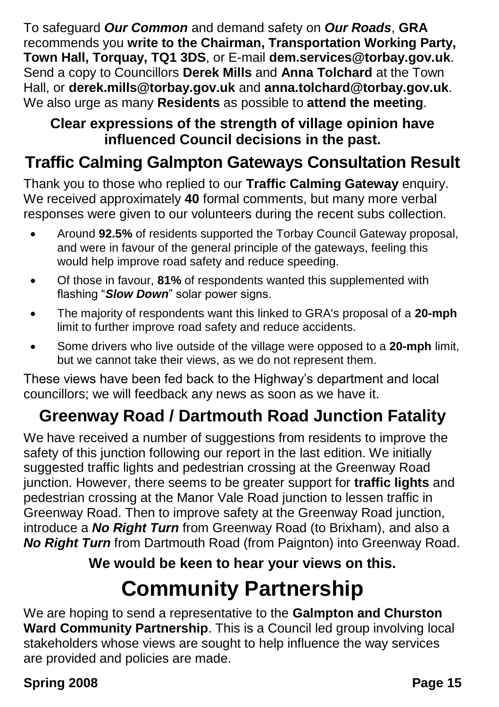To safeguard *Our Common* and demand safety on *Our Roads*, **GRA** recommends you **write to the Chairman, Transportation Working Party, Town Hall, Torquay, TQ1 3DS**, or E-mail **dem.services@torbay.gov.uk**. Send a copy to Councillors **Derek Mills** and **Anna Tolchard** at the Town Hall, or **derek.mills@torbay.gov.uk** and **anna.tolchard@torbay.gov.uk**. We also urge as many **Residents** as possible to **attend the meeting**.

### **Clear expressions of the strength of village opinion have influenced Council decisions in the past.**

## **Traffic Calming Galmpton Gateways Consultation Result**

Thank you to those who replied to our **Traffic Calming Gateway** enquiry. We received approximately **40** formal comments, but many more verbal responses were given to our volunteers during the recent subs collection.

- Around **92.5%** of residents supported the Torbay Council Gateway proposal, and were in favour of the general principle of the gateways, feeling this would help improve road safety and reduce speeding.
- Of those in favour, **81%** of respondents wanted this supplemented with flashing "*Slow Down*" solar power signs.
- The majority of respondents want this linked to GRA's proposal of a **20-mph** limit to further improve road safety and reduce accidents.
- Some drivers who live outside of the village were opposed to a **20-mph** limit, but we cannot take their views, as we do not represent them.

These views have been fed back to the Highway's department and local councillors; we will feedback any news as soon as we have it.

# **Greenway Road / Dartmouth Road Junction Fatality**

We have received a number of suggestions from residents to improve the safety of this junction following our report in the last edition. We initially suggested traffic lights and pedestrian crossing at the Greenway Road junction. However, there seems to be greater support for **traffic lights** and pedestrian crossing at the Manor Vale Road junction to lessen traffic in Greenway Road. Then to improve safety at the Greenway Road junction, introduce a *No Right Turn* from Greenway Road (to Brixham), and also a *No Right Turn* from Dartmouth Road (from Paignton) into Greenway Road.

### **We would be keen to hear your views on this.**

# **Community Partnership**

We are hoping to send a representative to the **Galmpton and Churston Ward Community Partnership**. This is a Council led group involving local stakeholders whose views are sought to help influence the way services are provided and policies are made.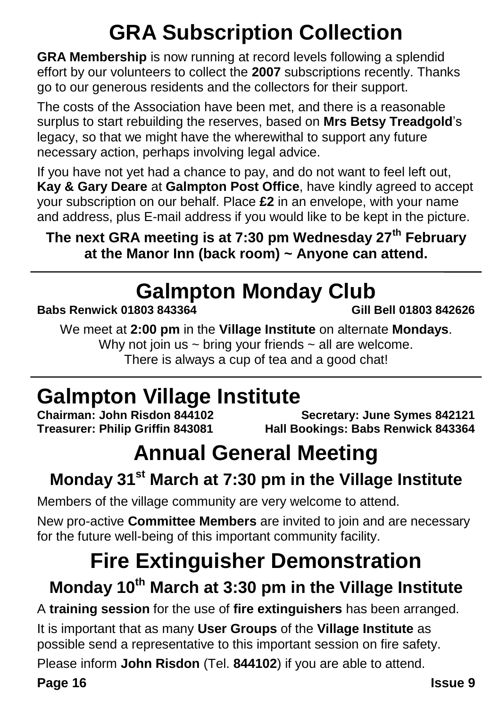# **GRA Subscription Collection**

**GRA Membership** is now running at record levels following a splendid effort by our volunteers to collect the **2007** subscriptions recently. Thanks go to our generous residents and the collectors for their support.

The costs of the Association have been met, and there is a reasonable surplus to start rebuilding the reserves, based on **Mrs Betsy Treadgold**'s legacy, so that we might have the wherewithal to support any future necessary action, perhaps involving legal advice.

If you have not yet had a chance to pay, and do not want to feel left out, **Kay & Gary Deare** at **Galmpton Post Office**, have kindly agreed to accept your subscription on our behalf. Place **£2** in an envelope, with your name and address, plus E-mail address if you would like to be kept in the picture.

### **The next GRA meeting is at 7:30 pm Wednesday 27th February at the Manor Inn (back room) ~ Anyone can attend.**

# **Galmpton Monday Club**

**Babs Renwick 01803 843364 Gill Bell 01803 842626**

We meet at **2:00 pm** in the **Village Institute** on alternate **Mondays**. Why not join us  $\sim$  bring your friends  $\sim$  all are welcome. There is always a cup of tea and a good chat!

# **Galmpton Village Institute**

**Chairman: John Risdon 844102 Secretary: June Symes 842121 Treasurer: Philip Griffin 843081 Hall Bookings: Babs Renwick 843364**

# **Annual General Meeting**

# **Monday 31st March at 7:30 pm in the Village Institute**

Members of the village community are very welcome to attend.

New pro-active **Committee Members** are invited to join and are necessary for the future well-being of this important community facility.

# **Fire Extinguisher Demonstration**

# **Monday 10th March at 3:30 pm in the Village Institute**

A **training session** for the use of **fire extinguishers** has been arranged.

It is important that as many **User Groups** of the **Village Institute** as possible send a representative to this important session on fire safety.

Please inform **John Risdon** (Tel. **844102**) if you are able to attend.

**Page 16 Issue 9**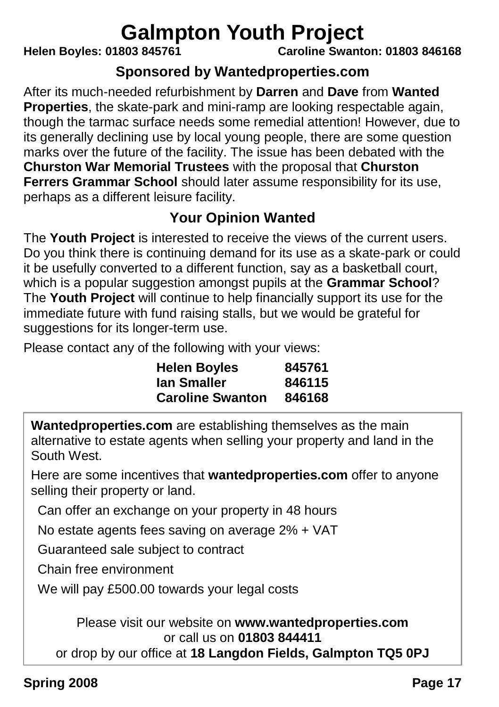# **Galmpton Youth Project**<br>Caroline Swants Caroline Swants

**Helen Boyles: 01803 845761 Caroline Swanton: 01803 846168**

### **Sponsored by Wantedproperties.com**

After its much-needed refurbishment by **Darren** and **Dave** from **Wanted Properties**, the skate-park and mini-ramp are looking respectable again, though the tarmac surface needs some remedial attention! However, due to its generally declining use by local young people, there are some question marks over the future of the facility. The issue has been debated with the **Churston War Memorial Trustees** with the proposal that **Churston Ferrers Grammar School** should later assume responsibility for its use, perhaps as a different leisure facility.

### **Your Opinion Wanted**

The **Youth Project** is interested to receive the views of the current users. Do you think there is continuing demand for its use as a skate-park or could it be usefully converted to a different function, say as a basketball court, which is a popular suggestion amongst pupils at the **Grammar School**? The **Youth Project** will continue to help financially support its use for the immediate future with fund raising stalls, but we would be grateful for suggestions for its longer-term use.

Please contact any of the following with your views:

| <b>Helen Boyles</b>     | 845761 |
|-------------------------|--------|
| lan Smaller             | 846115 |
| <b>Caroline Swanton</b> | 846168 |

**Wantedproperties.com** are establishing themselves as the main alternative to estate agents when selling your property and land in the South West.

Here are some incentives that **wantedproperties.com** offer to anyone selling their property or land.

Can offer an exchange on your property in 48 hours

No estate agents fees saving on average 2% + VAT

Guaranteed sale subject to contract

Chain free environment

We will pay £500.00 towards your legal costs

Please visit our website on **www.wantedproperties.com** or call us on **01803 844411**

or drop by our office at **18 Langdon Fields, Galmpton TQ5 0PJ**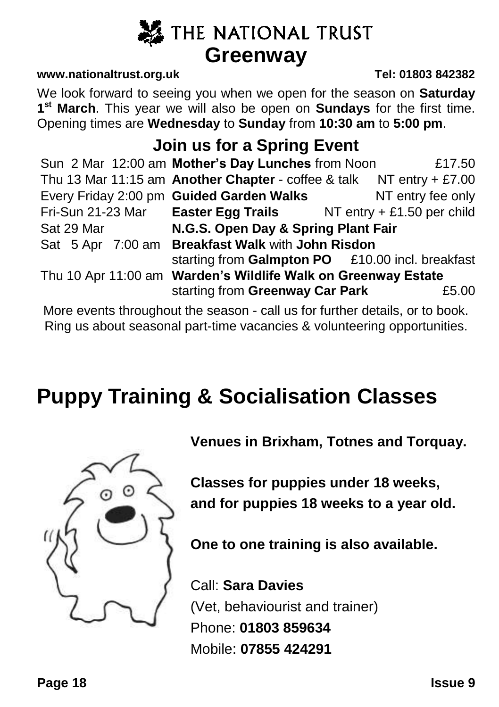# **SEATHE NATIONAL TRUST Greenway**

### **www.nationaltrust.org.uk Tel: 01803 842382**

We look forward to seeing you when we open for the season on **Saturday 1 st March**. This year we will also be open on **Sundays** for the first time. Opening times are **Wednesday** to **Sunday** from **10:30 am** to **5:00 pm**.

### **Join us for a Spring Event**

|            | Sun 2 Mar 12:00 am Mother's Day Lunches from Noon                      | £17.50            |
|------------|------------------------------------------------------------------------|-------------------|
|            | Thu 13 Mar 11:15 am Another Chapter - coffee & talk NT entry $+ £7.00$ |                   |
|            | Every Friday 2:00 pm Guided Garden Walks                               | NT entry fee only |
|            | Fri-Sun 21-23 Mar Easter Egg Trails NT entry + £1.50 per child         |                   |
| Sat 29 Mar | N.G.S. Open Day & Spring Plant Fair                                    |                   |
|            | Sat 5 Apr 7:00 am Breakfast Walk with John Risdon                      |                   |
|            | starting from Galmpton PO £10.00 incl. breakfast                       |                   |
|            | Thu 10 Apr 11:00 am Warden's Wildlife Walk on Greenway Estate          |                   |
|            | starting from Greenway Car Park                                        | £5.00             |
|            |                                                                        |                   |

More events throughout the season - call us for further details, or to book. Ring us about seasonal part-time vacancies & volunteering opportunities.

# **Puppy Training & Socialisation Classes**



**Venues in Brixham, Totnes and Torquay.**

**Classes for puppies under 18 weeks, and for puppies 18 weeks to a year old.**

**One to one training is also available.**

Call: **Sara Davies** (Vet, behaviourist and trainer) Phone: **01803 859634** Mobile: **07855 424291**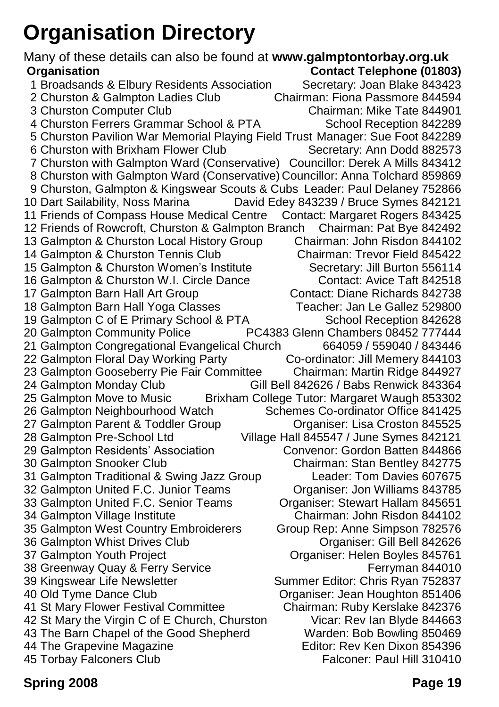# **Organisation Directory**

Many of these details can also be found at **www.galmptontorbay.org.uk Organisation Contact Telephone (01803)** 1 Broadsands & Elbury Residents Association Secretary: Joan Blake 843423<br>2 Churston & Galmoton Ladies Club Chairman: Fiona Passmore 844594 2 Churston & Galmpton Ladies Club Chairman: Fiona Passmore 844594 3 Churston Computer Club 4 Churston Ferrers Grammar School & PTA School Reception 842289 5 Churston Pavilion War Memorial Playing Field Trust Manager: Sue Foot 842289 6 Churston with Brixham Flower Club Secretary: Ann Dodd 882573 7 Churston with Galmpton Ward (Conservative) Councillor: Derek A Mills 843412 8 Churston with Galmpton Ward (Conservative) Councillor: Anna Tolchard 859869 9 Churston, Galmpton & Kingswear Scouts & Cubs Leader: Paul Delaney 752866 David Edey 843239 / Bruce Symes 842121 11 Friends of Compass House Medical Centre Contact: Margaret Rogers 843425<br>12 Friends of Rowcroft, Churston & Galmpton Branch Chairman: Pat Bye 842492 12 Friends of Rowcroft, Churston & Galmpton Branch Chairman: Pat Bye 842492 13 Galmpton & Churston Local History Group Chairman: John Risdon 844102<br>14 Galmpton & Churston Tennis Club Chairman: Trevor Field 845422 14 Galmpton & Churston Tennis Club 15 Galmpton & Churston Women's Institute Secretary: Jill Burton 556114 16 Galmpton & Churston W.I. Circle Dance Contact: Avice Taft 842518 17 Galmpton Barn Hall Art Group Contact: Diane Richards 842738<br>18 Galmpton Barn Hall Yoga Classes Teacher: Jan Le Gallez 529800 18 Galmpton Barn Hall Yoga Classes 19 Galmpton C of E Primary School & PTA School Reception 842628<br>20 Galmpton Community Police PC4383 Glenn Chambers 08452 777444 PC4383 Glenn Chambers 08452 777444 21 Galmpton Congregational Evangelical Church 664059 / 559040 / 843446 22 Galmpton Floral Day Working Party Co-ordinator: Jill Memery 844103 23 Galmpton Gooseberry Pie Fair Committee Chairman: Martin Ridge 844927 24 Galmpton Monday Club Gill Bell 842626 / Babs Renwick 843364 25 Galmpton Move to Music Brixham College Tutor: Margaret Waugh 853302 26 Galmpton Neighbourhood Watch 27 Galmpton Parent & Toddler Group **Communder** Croston 845525 28 Galmpton Pre-School Ltd Village Hall 845547 / June Symes 842121 29 Galmpton Residents' Association Convenor: Gordon Batten 844866 30 Galmpton Snooker Club Chairman: Stan Bentley 842775 31 Galmpton Traditional & Swing Jazz Group Leader: Tom Davies 607675 32 Galmpton United F.C. Junior Teams Organiser: Jon Williams 843785 33 Galmpton United F.C. Senior Teams Organiser: Stewart Hallam 845651 34 Galmpton Village Institute Chairman: John Risdon 844102 35 Galmpton West Country Embroiderers Group Rep: Anne Simpson 782576 36 Galmpton Whist Drives Club Organiser: Gill Bell 842626 37 Galmpton Youth Project **Communist Communist Communist Communist Communist Communist Communist Communist Communist Communist Communist Communist Communist Communist Communist Communist Communist Communist Communist Commu** 38 Greenway Quay & Ferry Service The Contract of Terryman 844010 39 Kingswear Life Newsletter Summer Editor: Chris Ryan 752837 40 Old Tyme Dance Club **Channel Bance Club** Crganiser: Jean Houghton 851406<br>41 St Mary Flower Festival Committee Chairman: Ruby Kerslake 842376 41 St Mary Flower Festival Committee 42 St Mary the Virgin C of E Church, Churston Vicar: Rev Ian Blyde 844663 43 The Barn Chapel of the Good Shepherd Warden: Bob Bowling 850469<br>44 The Grapevine Magazine Warell Editor: Rev Ken Dixon 854396 44 The Grapevine Magazine Editor: Rev Ken Dixon 854396 45 Torbay Falconers Club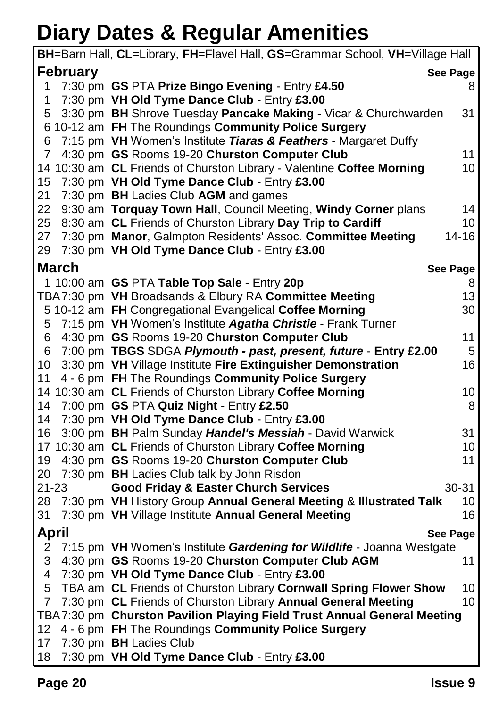# **Diary Dates & Regular Amenities**

|              |              | BH=Barn Hall, CL=Library, FH=Flavel Hall, GS=Grammar School, VH=Village Hall |           |
|--------------|--------------|------------------------------------------------------------------------------|-----------|
|              | February     |                                                                              | See Page  |
| 1            |              | 7:30 pm GS PTA Prize Bingo Evening - Entry £4.50                             | 8         |
| 1            |              | 7:30 pm VH Old Tyme Dance Club - Entry £3.00                                 |           |
| 5            |              | 3:30 pm BH Shrove Tuesday Pancake Making - Vicar & Churchwarden              | 31        |
|              |              | 6 10-12 am FH The Roundings Community Police Surgery                         |           |
| 6            |              | 7:15 pm VH Women's Institute Tiaras & Feathers - Margaret Duffy              |           |
| 7            |              | 4:30 pm GS Rooms 19-20 Churston Computer Club                                | 11        |
|              |              | 14 10:30 am CL Friends of Churston Library - Valentine Coffee Morning        | 10        |
| 15           |              | 7:30 pm VH Old Tyme Dance Club - Entry £3.00                                 |           |
| 21           |              | 7:30 pm BH Ladies Club AGM and games                                         |           |
| 22           |              | 9:30 am Torquay Town Hall, Council Meeting, Windy Corner plans               | 14        |
| 25           |              | 8:30 am CL Friends of Churston Library Day Trip to Cardiff                   | 10        |
| 27           |              | 7:30 pm Manor, Galmpton Residents' Assoc. Committee Meeting                  | $14 - 16$ |
| 29           |              | 7:30 pm VH Old Tyme Dance Club - Entry £3.00                                 |           |
|              | <b>March</b> |                                                                              | See Page  |
|              |              | 1 10:00 am GS PTA Table Top Sale - Entry 20p                                 | 8         |
|              |              | TBA7:30 pm VH Broadsands & Elbury RA Committee Meeting                       | 13        |
|              |              | 5 10-12 am FH Congregational Evangelical Coffee Morning                      | 30        |
| 5.           |              | 7:15 pm VH Women's Institute Agatha Christie - Frank Turner                  |           |
| 6            |              | 4:30 pm GS Rooms 19-20 Churston Computer Club                                | 11        |
| 6            |              | 7:00 pm TBGS SDGA Plymouth - past, present, future - Entry £2.00             | 5         |
| 10           |              | 3:30 pm VH Village Institute Fire Extinguisher Demonstration                 | 16        |
| 11           |              | 4 - 6 pm FH The Roundings Community Police Surgery                           |           |
|              |              | 14 10:30 am CL Friends of Churston Library Coffee Morning                    | 10        |
| 14           |              | 7:00 pm GS PTA Quiz Night - Entry £2.50                                      | 8         |
| 14           |              | 7:30 pm VH Old Tyme Dance Club - Entry £3.00                                 |           |
| 16           |              | 3:00 pm BH Palm Sunday Handel's Messiah - David Warwick                      | 31        |
|              |              | 17 10:30 am CL Friends of Churston Library Coffee Morning                    | 10        |
| 19           |              | 4:30 pm GS Rooms 19-20 Churston Computer Club                                | 11        |
| 20           |              | 7:30 pm BH Ladies Club talk by John Risdon                                   |           |
| 21-23        |              | <b>Good Friday &amp; Easter Church Services</b>                              | 30-31     |
| 28           |              | 7:30 pm VH History Group Annual General Meeting & Illustrated Talk           | 10        |
| 31           |              | 7:30 pm VH Village Institute Annual General Meeting                          | 16        |
| <b>April</b> |              |                                                                              | See Page  |
| 2            |              | 7:15 pm VH Women's Institute Gardening for Wildlife - Joanna Westgate        |           |
| 3            |              | 4:30 pm GS Rooms 19-20 Churston Computer Club AGM                            | 11        |
| 4            |              | 7:30 pm VH Old Tyme Dance Club - Entry £3.00                                 |           |
| 5            |              | TBA am CL Friends of Churston Library Cornwall Spring Flower Show            | 10        |
| 7            |              | 7:30 pm CL Friends of Churston Library Annual General Meeting                | 10        |
|              |              | TBA7:30 pm Churston Pavilion Playing Field Trust Annual General Meeting      |           |
| 12           |              | 4 - 6 pm FH The Roundings Community Police Surgery                           |           |
| 17           |              | 7:30 pm <b>BH</b> Ladies Club                                                |           |
| 18           |              | 7:30 pm VH Old Tyme Dance Club - Entry £3.00                                 |           |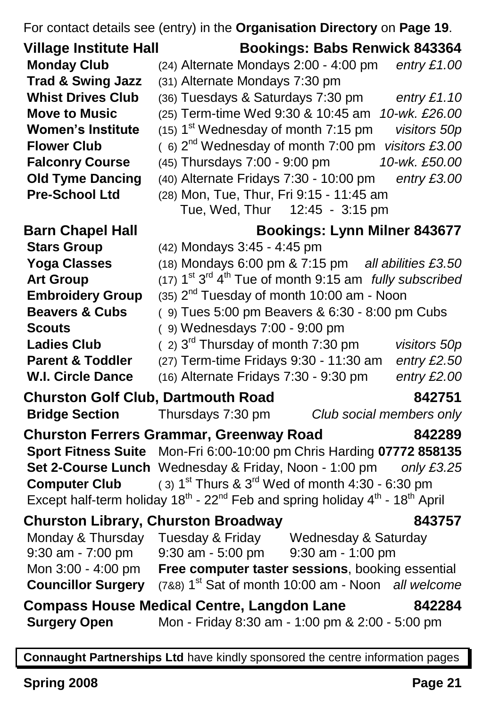For contact details see (entry) in the **Organisation Directory** on **Page 19**.

|                                            | $\sim$ . $\sim$ . $\sim$ . $\sim$ . $\sim$ . $\sim$ . $\sim$ . $\sim$ . $\sim$ . $\sim$ . $\sim$ . $\sim$ . $\sim$ . $\sim$ . $\sim$ . $\sim$ . $\sim$ . $\sim$ . $\sim$ . $\sim$ . $\sim$ . $\sim$ . $\sim$ . $\sim$ . $\sim$ . $\sim$ . $\sim$ . $\sim$ . $\sim$ . $\sim$ . $\sim$ . $\sim$ |                |
|--------------------------------------------|-----------------------------------------------------------------------------------------------------------------------------------------------------------------------------------------------------------------------------------------------------------------------------------------------|----------------|
| <b>Village Institute Hall</b>              | <b>Bookings: Babs Renwick 843364</b>                                                                                                                                                                                                                                                          |                |
| <b>Monday Club</b>                         | (24) Alternate Mondays 2:00 - 4:00 pm                                                                                                                                                                                                                                                         | entry $£1.00$  |
| <b>Trad &amp; Swing Jazz</b>               | (31) Alternate Mondays 7:30 pm                                                                                                                                                                                                                                                                |                |
| <b>Whist Drives Club</b>                   | (36) Tuesdays & Saturdays 7:30 pm                                                                                                                                                                                                                                                             | entry $£1.10$  |
| <b>Move to Music</b>                       | (25) Term-time Wed 9:30 & 10:45 am                                                                                                                                                                                                                                                            | 10-wk. £26.00  |
| <b>Women's Institute</b>                   | $(15)$ 1 <sup>st</sup> Wednesday of month 7:15 pm                                                                                                                                                                                                                                             | visitors 50p   |
| <b>Flower Club</b>                         | $(6)$ 2 <sup>nd</sup> Wednesday of month 7:00 pm                                                                                                                                                                                                                                              | visitors £3.00 |
| <b>Falconry Course</b>                     | (45) Thursdays 7:00 - 9:00 pm                                                                                                                                                                                                                                                                 | 10-wk. £50.00  |
| <b>Old Tyme Dancing</b>                    | (40) Alternate Fridays 7:30 - 10:00 pm                                                                                                                                                                                                                                                        | entry £3.00    |
| <b>Pre-School Ltd</b>                      | (28) Mon, Tue, Thur, Fri 9:15 - 11:45 am                                                                                                                                                                                                                                                      |                |
|                                            | Tue, Wed, Thur 12:45 - 3:15 pm                                                                                                                                                                                                                                                                |                |
| <b>Barn Chapel Hall</b>                    | <b>Bookings: Lynn Milner 843677</b>                                                                                                                                                                                                                                                           |                |
| <b>Stars Group</b>                         | (42) Mondays 3:45 - 4:45 pm                                                                                                                                                                                                                                                                   |                |
| <b>Yoga Classes</b>                        | (18) Mondays 6:00 pm & 7:15 pm all abilities £3.50                                                                                                                                                                                                                                            |                |
| <b>Art Group</b>                           | $(17)$ 1 <sup>st</sup> 3 <sup>rd</sup> 4 <sup>th</sup> Tue of month 9:15 am <i>fully subscribed</i>                                                                                                                                                                                           |                |
| <b>Embroidery Group</b>                    | $(35)$ 2 <sup>nd</sup> Tuesday of month 10:00 am - Noon                                                                                                                                                                                                                                       |                |
| <b>Beavers &amp; Cubs</b>                  | (9) Tues 5:00 pm Beavers & 6:30 - 8:00 pm Cubs                                                                                                                                                                                                                                                |                |
| <b>Scouts</b>                              | (9) Wednesdays 7:00 - 9:00 pm                                                                                                                                                                                                                                                                 |                |
| <b>Ladies Club</b>                         | $(2)$ 3 <sup>rd</sup> Thursday of month 7:30 pm                                                                                                                                                                                                                                               | visitors 50p   |
| <b>Parent &amp; Toddler</b>                | (27) Term-time Fridays 9:30 - 11:30 am                                                                                                                                                                                                                                                        | entry £2.50    |
| <b>W.I. Circle Dance</b>                   | (16) Alternate Fridays 7:30 - 9:30 pm                                                                                                                                                                                                                                                         | entry £2.00    |
| <b>Churston Golf Club, Dartmouth Road</b>  |                                                                                                                                                                                                                                                                                               | 842751         |
| <b>Bridge Section</b>                      | Thursdays 7:30 pm<br>Club social members only                                                                                                                                                                                                                                                 |                |
|                                            | <b>Churston Ferrers Grammar, Greenway Road</b>                                                                                                                                                                                                                                                | 842289         |
| <b>Sport Fitness Suite</b>                 | Mon-Fri 6:00-10:00 pm Chris Harding 07772 858135                                                                                                                                                                                                                                              |                |
|                                            | Set 2-Course Lunch Wednesday & Friday, Noon - 1:00 pm only £3.25                                                                                                                                                                                                                              |                |
| <b>Computer Club</b>                       | (3) $1^{st}$ Thurs & $3^{rd}$ Wed of month 4:30 - 6:30 pm                                                                                                                                                                                                                                     |                |
|                                            | Except half-term holiday $18^{th}$ - $22^{nd}$ Feb and spring holiday $4^{th}$ - $18^{th}$ April                                                                                                                                                                                              |                |
| <b>Churston Library, Churston Broadway</b> |                                                                                                                                                                                                                                                                                               | 843757         |
| Monday & Thursday                          | Tuesday & Friday<br>Wednesday & Saturday                                                                                                                                                                                                                                                      |                |
| 9:30 am - 7:00 pm                          | 9:30 am - 1:00 pm<br>$9:30$ am - 5:00 pm                                                                                                                                                                                                                                                      |                |
| Mon 3:00 - 4:00 pm                         | Free computer taster sessions, booking essential                                                                                                                                                                                                                                              |                |
| <b>Councillor Surgery</b>                  | $(788)$ 1 <sup>st</sup> Sat of month 10:00 am - Noon all welcome                                                                                                                                                                                                                              |                |
|                                            | <b>Compass House Medical Centre, Langdon Lane</b>                                                                                                                                                                                                                                             | 842284         |
| <b>Surgery Open</b>                        | Mon - Friday 8:30 am - 1:00 pm & 2:00 - 5:00 pm                                                                                                                                                                                                                                               |                |
|                                            |                                                                                                                                                                                                                                                                                               |                |

**Connaught Partnerships Ltd** have kindly sponsored the centre information pages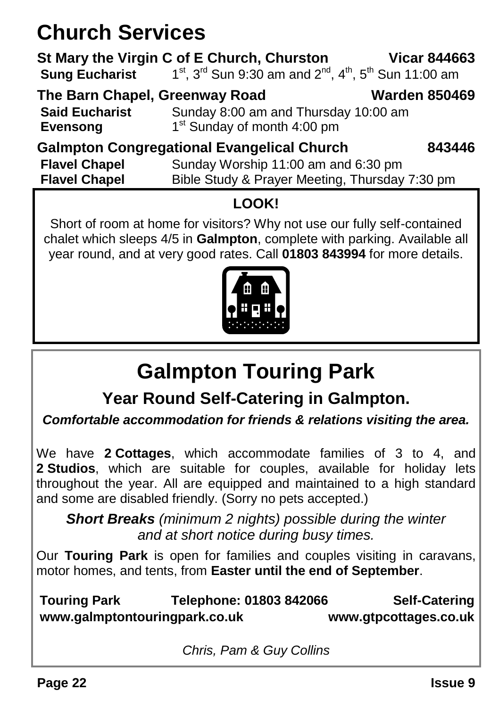# **Church Services**

| <b>Sung Eucharist</b>                                       | St Mary the Virgin C of E Church, Churston<br>1 <sup>st</sup> , 3 <sup>rd</sup> Sun 9:30 am and 2 <sup>nd</sup> , 4 <sup>th</sup> , 5 <sup>th</sup> Sun 11:00 am | <b>Vicar 844663</b>  |
|-------------------------------------------------------------|------------------------------------------------------------------------------------------------------------------------------------------------------------------|----------------------|
| The Barn Chapel, Greenway Road                              |                                                                                                                                                                  | <b>Warden 850469</b> |
| <b>Said Eucharist</b><br><b>Evensong</b>                    | Sunday 8:00 am and Thursday 10:00 am<br>1 <sup>st</sup> Sunday of month 4:00 pm                                                                                  |                      |
| <b>Galmpton Congregational Evangelical Church</b><br>843446 |                                                                                                                                                                  |                      |
| <b>Flavel Chapel</b>                                        | Sunday Worship 11:00 am and 6:30 pm                                                                                                                              |                      |
| <b>Flavel Chapel</b>                                        | Bible Study & Prayer Meeting, Thursday 7:30 pm                                                                                                                   |                      |

### **LOOK!**

Short of room at home for visitors? Why not use our fully self-contained chalet which sleeps 4/5 in **Galmpton**, complete with parking. Available all year round, and at very good rates. Call **01803 843994** for more details.



# **Galmpton Touring Park**

**Year Round Self-Catering in Galmpton.**

*Comfortable accommodation for friends & relations visiting the area.*

We have **2 Cottages**, which accommodate families of 3 to 4, and **2 Studios**, which are suitable for couples, available for holiday lets throughout the year. All are equipped and maintained to a high standard and some are disabled friendly. (Sorry no pets accepted.)

*Short Breaks (minimum 2 nights) possible during the winter and at short notice during busy times.*

Our **Touring Park** is open for families and couples visiting in caravans, motor homes, and tents, from **Easter until the end of September**.

**Touring Park Telephone: 01803 842066 Self-Catering www.galmptontouringpark.co.uk www.gtpcottages.co.uk**

*Chris, Pam & Guy Collins*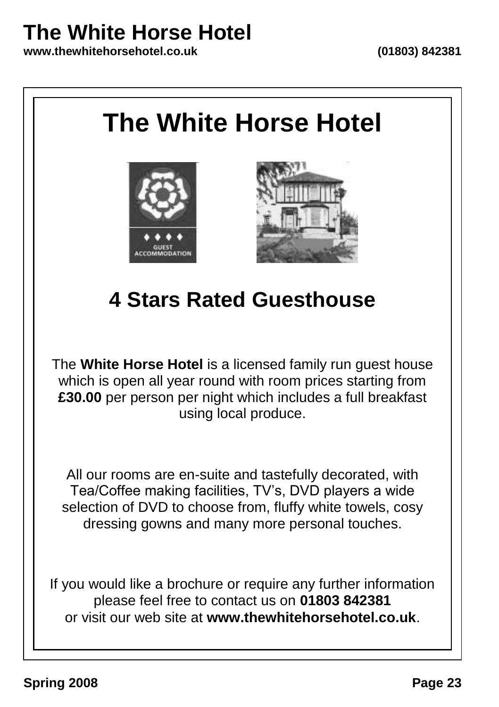# **The White Horse Hotel**

**www.thewhitehorsehotel.co.uk (01803) 842381**

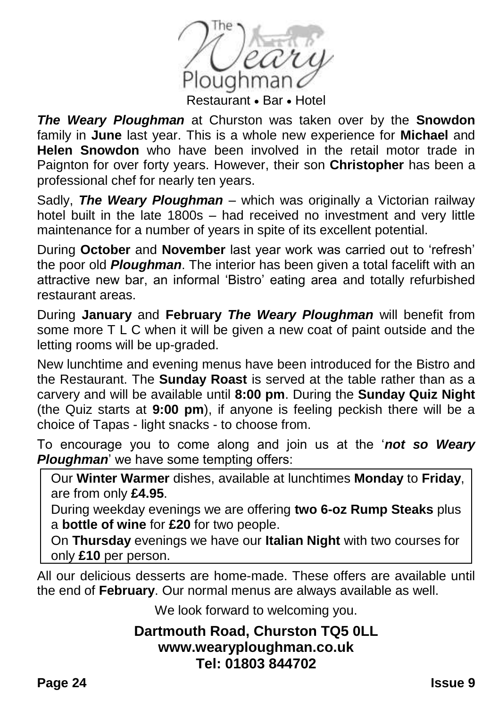$The \sim$ Ploughman Restaurant • Bar • Hotel

*The Weary Ploughman* at Churston was taken over by the **Snowdon** family in **June** last year. This is a whole new experience for **Michael** and **Helen Snowdon** who have been involved in the retail motor trade in Paignton for over forty years. However, their son **Christopher** has been a professional chef for nearly ten years.

Sadly, *The Weary Ploughman* – which was originally a Victorian railway hotel built in the late 1800s – had received no investment and very little maintenance for a number of years in spite of its excellent potential.

During **October** and **November** last year work was carried out to 'refresh' the poor old *Ploughman*. The interior has been given a total facelift with an attractive new bar, an informal 'Bistro' eating area and totally refurbished restaurant areas.

During **January** and **February** *The Weary Ploughman* will benefit from some more T L C when it will be given a new coat of paint outside and the letting rooms will be up-graded.

New lunchtime and evening menus have been introduced for the Bistro and the Restaurant. The **Sunday Roast** is served at the table rather than as a carvery and will be available until **8:00 pm**. During the **Sunday Quiz Night** (the Quiz starts at **9:00 pm**), if anyone is feeling peckish there will be a choice of Tapas - light snacks - to choose from.

To encourage you to come along and join us at the '*not so Weary Ploughman*' we have some tempting offers:

Our **Winter Warmer** dishes, available at lunchtimes **Monday** to **Friday**, are from only **£4.95**.

During weekday evenings we are offering **two 6-oz Rump Steaks** plus a **bottle of wine** for **£20** for two people.

On **Thursday** evenings we have our **Italian Night** with two courses for only **£10** per person.

All our delicious desserts are home-made. These offers are available until the end of **February**. Our normal menus are always available as well.

We look forward to welcoming you.

### **Dartmouth Road, Churston TQ5 0LL www.wearyploughman.co.uk Tel: 01803 844702**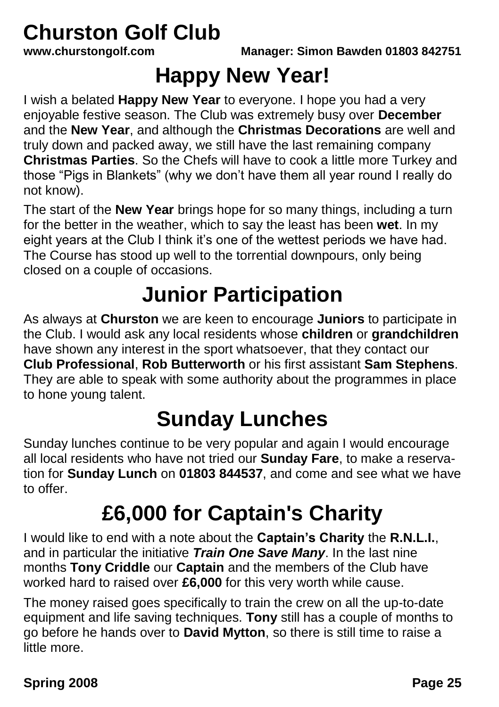# **Churston Golf Club**<br>www.churstongolf.com

**www.churstongolf.com Manager: Simon Bawden 01803 842751**

# **Happy New Year!**

I wish a belated **Happy New Year** to everyone. I hope you had a very enjoyable festive season. The Club was extremely busy over **December** and the **New Year**, and although the **Christmas Decorations** are well and truly down and packed away, we still have the last remaining company **Christmas Parties**. So the Chefs will have to cook a little more Turkey and those "Pigs in Blankets" (why we don't have them all year round I really do not know).

The start of the **New Year** brings hope for so many things, including a turn for the better in the weather, which to say the least has been **wet**. In my eight years at the Club I think it's one of the wettest periods we have had. The Course has stood up well to the torrential downpours, only being closed on a couple of occasions.

# **Junior Participation**

As always at **Churston** we are keen to encourage **Juniors** to participate in the Club. I would ask any local residents whose **children** or **grandchildren** have shown any interest in the sport whatsoever, that they contact our **Club Professional**, **Rob Butterworth** or his first assistant **Sam Stephens**. They are able to speak with some authority about the programmes in place to hone young talent.

# **Sunday Lunches**

Sunday lunches continue to be very popular and again I would encourage all local residents who have not tried our **Sunday Fare**, to make a reservation for **Sunday Lunch** on **01803 844537**, and come and see what we have to offer.

# **£6,000 for Captain's Charity**

I would like to end with a note about the **Captain's Charity** the **R.N.L.I.**, and in particular the initiative *Train One Save Many*. In the last nine months **Tony Criddle** our **Captain** and the members of the Club have worked hard to raised over **£6,000** for this very worth while cause.

The money raised goes specifically to train the crew on all the up-to-date equipment and life saving techniques. **Tony** still has a couple of months to go before he hands over to **David Mytton**, so there is still time to raise a little more.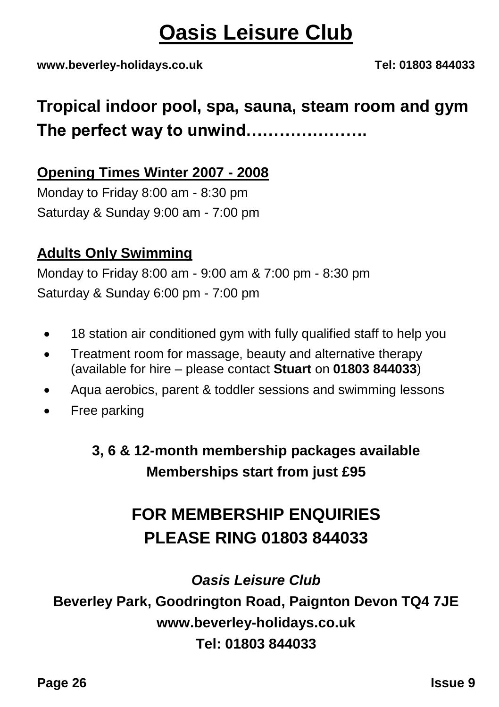# **Oasis Leisure Club**

**www.beverley-holidays.co.uk Tel: 01803 844033**

# **Tropical indoor pool, spa, sauna, steam room and gym The perfect way to unwind………………….**

### **Opening Times Winter 2007 - 2008**

Monday to Friday 8:00 am - 8:30 pm Saturday & Sunday 9:00 am - 7:00 pm

### **Adults Only Swimming**

Monday to Friday 8:00 am - 9:00 am & 7:00 pm - 8:30 pm Saturday & Sunday 6:00 pm - 7:00 pm

- 18 station air conditioned gym with fully qualified staff to help you
- Treatment room for massage, beauty and alternative therapy (available for hire – please contact **Stuart** on **01803 844033**)
- Aqua aerobics, parent & toddler sessions and swimming lessons
- Free parking

**3, 6 & 12-month membership packages available Memberships start from just £95**

# **FOR MEMBERSHIP ENQUIRIES PLEASE RING 01803 844033**

### *Oasis Leisure Club*

**Beverley Park, Goodrington Road, Paignton Devon TQ4 7JE www.beverley-holidays.co.uk Tel: 01803 844033**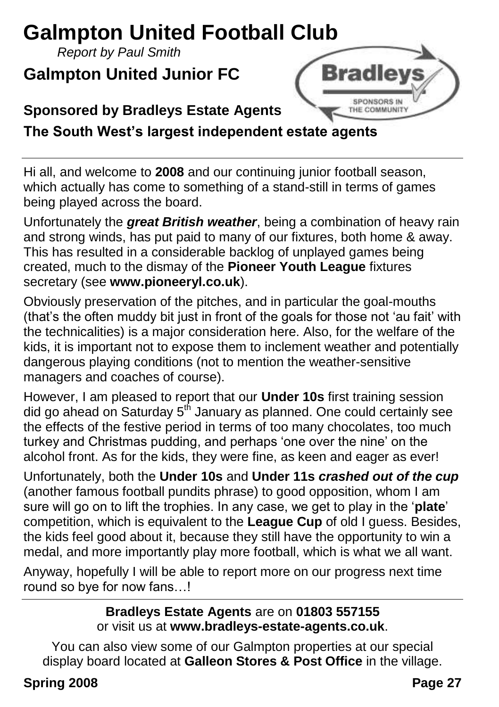# **Galmpton United Football Club**

*Report by Paul Smith*

# **Galmpton United Junior FC**

**Sponsored by Bradleys Estate Agents**



**The South West's largest independent estate agents**

Hi all, and welcome to **2008** and our continuing junior football season, which actually has come to something of a stand-still in terms of games being played across the board.

Unfortunately the *great British weather*, being a combination of heavy rain and strong winds, has put paid to many of our fixtures, both home & away. This has resulted in a considerable backlog of unplayed games being created, much to the dismay of the **Pioneer Youth League** fixtures secretary (see **www.pioneeryl.co.uk**).

Obviously preservation of the pitches, and in particular the goal-mouths (that's the often muddy bit just in front of the goals for those not 'au fait' with the technicalities) is a major consideration here. Also, for the welfare of the kids, it is important not to expose them to inclement weather and potentially dangerous playing conditions (not to mention the weather-sensitive managers and coaches of course).

However, I am pleased to report that our **Under 10s** first training session did go ahead on Saturday 5<sup>th</sup> January as planned. One could certainly see the effects of the festive period in terms of too many chocolates, too much turkey and Christmas pudding, and perhaps 'one over the nine' on the alcohol front. As for the kids, they were fine, as keen and eager as ever!

Unfortunately, both the **Under 10s** and **Under 11s** *crashed out of the cup* (another famous football pundits phrase) to good opposition, whom I am sure will go on to lift the trophies. In any case, we get to play in the '**plate**' competition, which is equivalent to the **League Cup** of old I guess. Besides, the kids feel good about it, because they still have the opportunity to win a medal, and more importantly play more football, which is what we all want.

Anyway, hopefully I will be able to report more on our progress next time round so bye for now fans…!

### **Bradleys Estate Agents** are on **01803 557155** or visit us at **www.bradleys-estate-agents.co.uk**.

You can also view some of our Galmpton properties at our special display board located at **Galleon Stores & Post Office** in the village.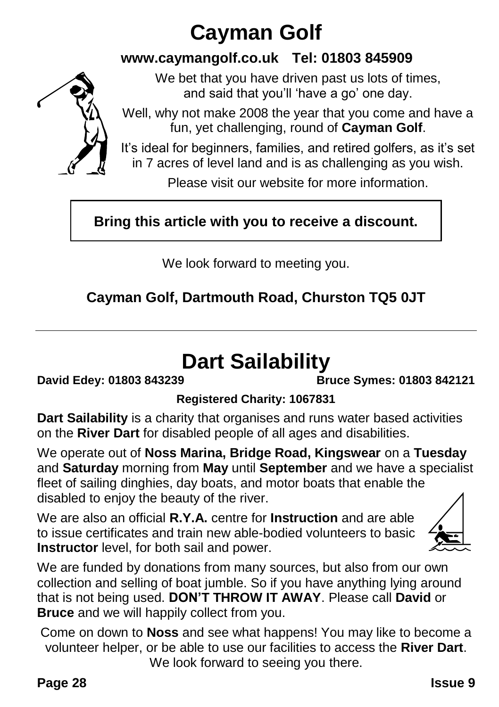# **Cayman Golf**

### **www.caymangolf.co.uk Tel: 01803 845909**

We bet that you have driven past us lots of times, and said that you'll 'have a go' one day.

Well, why not make 2008 the year that you come and have a fun, yet challenging, round of **Cayman Golf**.

It's ideal for beginners, families, and retired golfers, as it's set in 7 acres of level land and is as challenging as you wish.

Please visit our website for more information.

### **Bring this article with you to receive a discount.**

We look forward to meeting you.

**Cayman Golf, Dartmouth Road, Churston TQ5 0JT**

# **Dart Sailability**

### **David Edey: 01803 843239 Bruce Symes: 01803 842121**

### **Registered Charity: 1067831**

**Dart Sailability** is a charity that organises and runs water based activities on the **River Dart** for disabled people of all ages and disabilities.

We operate out of **Noss Marina, Bridge Road, Kingswear** on a **Tuesday** and **Saturday** morning from **May** until **September** and we have a specialist fleet of sailing dinghies, day boats, and motor boats that enable the disabled to enjoy the beauty of the river.

We are also an official **R.Y.A.** centre for **Instruction** and are able to issue certificates and train new able-bodied volunteers to basic **Instructor** level, for both sail and power.



We are funded by donations from many sources, but also from our own collection and selling of boat jumble. So if you have anything lying around that is not being used. **DON'T THROW IT AWAY**. Please call **David** or **Bruce** and we will happily collect from you.

Come on down to **Noss** and see what happens! You may like to become a volunteer helper, or be able to use our facilities to access the **River Dart**. We look forward to seeing you there.

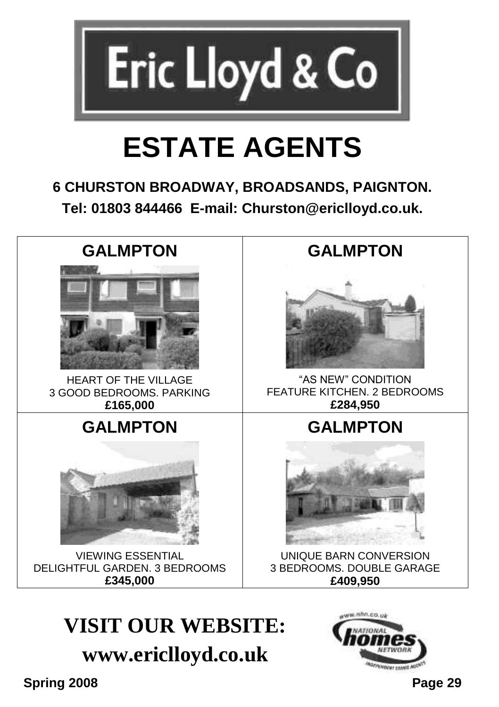

# **ESTATE AGENTS**

**6 CHURSTON BROADWAY, BROADSANDS, PAIGNTON. Tel: 01803 844466 E-mail: Churston@ericlloyd.co.uk.**



# **VISIT OUR WEBSITE: www.ericlloyd.co.uk**

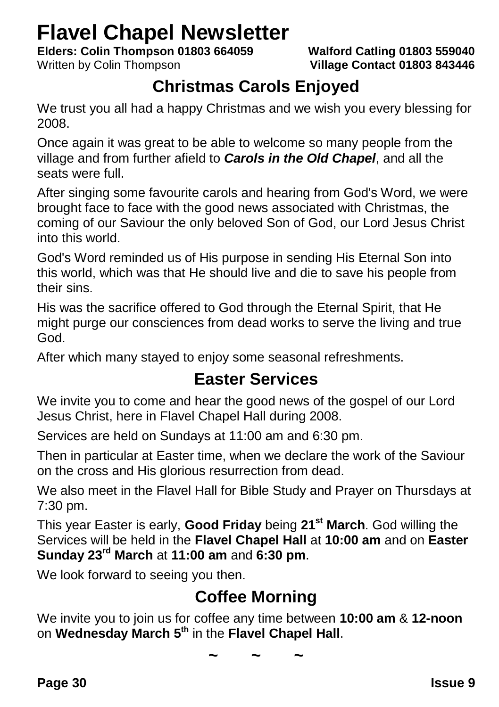# **Flavel Chapel Newsletter**

**Elders: Colin Thompson 01803 664059 Walford Catling 01803 559040**

Written by Colin Thompson **Village Contact 01803 843446**

### **Christmas Carols Enjoyed**

We trust you all had a happy Christmas and we wish you every blessing for 2008.

Once again it was great to be able to welcome so many people from the village and from further afield to *Carols in the Old Chapel*, and all the seats were full.

After singing some favourite carols and hearing from God's Word, we were brought face to face with the good news associated with Christmas, the coming of our Saviour the only beloved Son of God, our Lord Jesus Christ into this world.

God's Word reminded us of His purpose in sending His Eternal Son into this world, which was that He should live and die to save his people from their sins.

His was the sacrifice offered to God through the Eternal Spirit, that He might purge our consciences from dead works to serve the living and true God.

After which many stayed to enjoy some seasonal refreshments.

### **Easter Services**

We invite you to come and hear the good news of the gospel of our Lord Jesus Christ, here in Flavel Chapel Hall during 2008.

Services are held on Sundays at 11:00 am and 6:30 pm.

Then in particular at Easter time, when we declare the work of the Saviour on the cross and His glorious resurrection from dead.

We also meet in the Flavel Hall for Bible Study and Prayer on Thursdays at 7:30 pm.

This year Easter is early, **Good Friday** being **21st March**. God willing the Services will be held in the **Flavel Chapel Hall** at **10:00 am** and on **Easter Sunday 23rd March** at **11:00 am** and **6:30 pm**.

We look forward to seeing you then.

## **Coffee Morning**

We invite you to join us for coffee any time between **10:00 am** & **12-noon** on **Wednesday March 5th** in the **Flavel Chapel Hall**.

**~ ~ ~**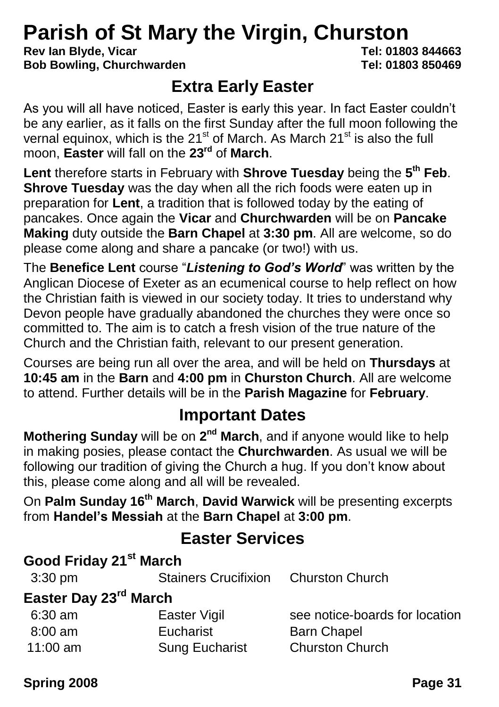# **Parish of St Mary the Virgin, Churston**<br>Rev lan Blyde, Vicar<br>Tel: 01803 844663

**Rev Ian Blyde, Vicar Bob Bowling, Churchwarden Tel: 01803 850469**

### **Extra Early Easter**

As you will all have noticed, Easter is early this year. In fact Easter couldn't be any earlier, as it falls on the first Sunday after the full moon following the vernal equinox, which is the 21<sup>st</sup> of March. As March 21<sup>st</sup> is also the full moon, **Easter** will fall on the **23rd** of **March**.

**Lent** therefore starts in February with **Shrove Tuesday** being the **5 th Feb**. **Shrove Tuesday** was the day when all the rich foods were eaten up in preparation for **Lent**, a tradition that is followed today by the eating of pancakes. Once again the **Vicar** and **Churchwarden** will be on **Pancake Making** duty outside the **Barn Chapel** at **3:30 pm**. All are welcome, so do please come along and share a pancake (or two!) with us.

The **Benefice Lent** course "*Listening to God's World*" was written by the Anglican Diocese of Exeter as an ecumenical course to help reflect on how the Christian faith is viewed in our society today. It tries to understand why Devon people have gradually abandoned the churches they were once so committed to. The aim is to catch a fresh vision of the true nature of the Church and the Christian faith, relevant to our present generation.

Courses are being run all over the area, and will be held on **Thursdays** at **10:45 am** in the **Barn** and **4:00 pm** in **Churston Church**. All are welcome to attend. Further details will be in the **Parish Magazine** for **February**.

## **Important Dates**

**Mothering Sunday** will be on 2<sup>nd</sup> March, and if anyone would like to help in making posies, please contact the **Churchwarden**. As usual we will be following our tradition of giving the Church a hug. If you don't know about this, please come along and all will be revealed.

On **Palm Sunday 16th March**, **David Warwick** will be presenting excerpts from **Handel's Messiah** at the **Barn Chapel** at **3:00 pm**.

### **Easter Services**

| Good Friday 21st March            |                                      |                                |
|-----------------------------------|--------------------------------------|--------------------------------|
| $3:30 \text{ pm}$                 | Stainers Crucifixion Churston Church |                                |
| Easter Day 23 <sup>rd</sup> March |                                      |                                |
| $6:30$ am                         | Easter Vigil                         | see notice-boards for location |
| $8:00$ am                         | Eucharist                            | <b>Barn Chapel</b>             |
| 11:00 am                          | <b>Sung Eucharist</b>                | <b>Churston Church</b>         |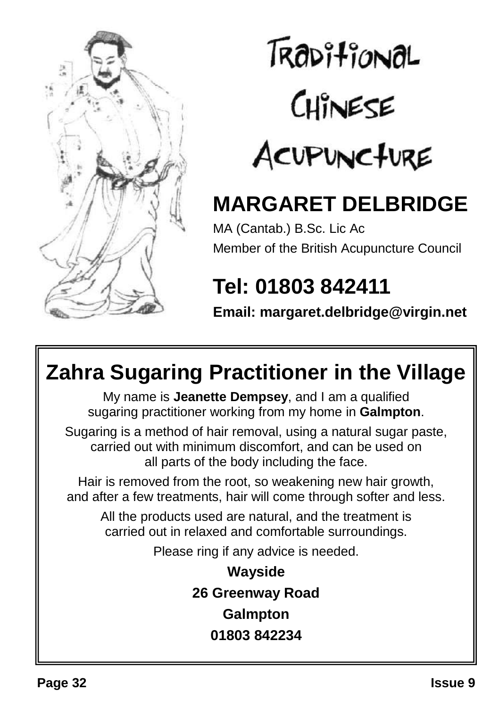

# TRADifiONAL CHINESE ACUPUNCTURE

**MARGARET DELBRIDGE** MA (Cantab.) B.Sc. Lic Ac

Member of the British Acupuncture Council

# **Tel: 01803 842411**

**Email: margaret.delbridge@virgin.net**

# **Zahra Sugaring Practitioner in the Village**

My name is **Jeanette Dempsey**, and I am a qualified sugaring practitioner working from my home in **Galmpton**.

Sugaring is a method of hair removal, using a natural sugar paste, carried out with minimum discomfort, and can be used on all parts of the body including the face.

Hair is removed from the root, so weakening new hair growth, and after a few treatments, hair will come through softer and less.

All the products used are natural, and the treatment is carried out in relaxed and comfortable surroundings.

Please ring if any advice is needed.

**Wayside 26 Greenway Road Galmpton 01803 842234**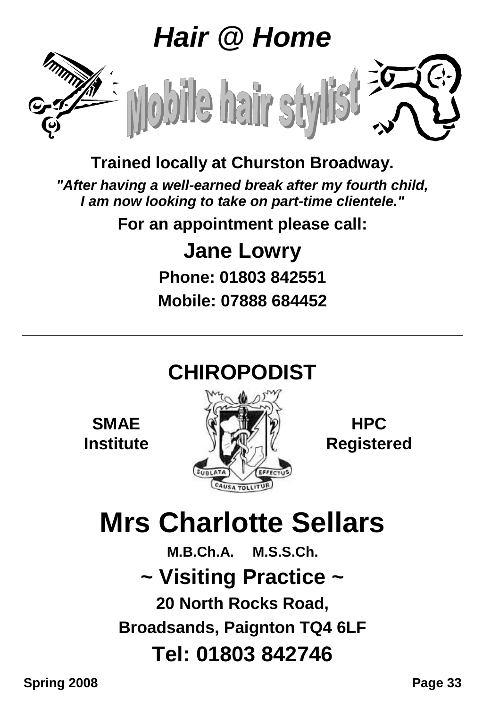

**Trained locally at Churston Broadway.** *"After having a well-earned break after my fourth child, I am now looking to take on part-time clientele."*

**For an appointment please call:**

**Jane Lowry Phone: 01803 842551 Mobile: 07888 684452**

# **CHIROPODIST**

**SMAE Institute**



**HPC Registered**

# **Mrs Charlotte Sellars**

**M.B.Ch.A. M.S.S.Ch. ~ Visiting Practice ~ 20 North Rocks Road, Broadsands, Paignton TQ4 6LF Tel: 01803 842746**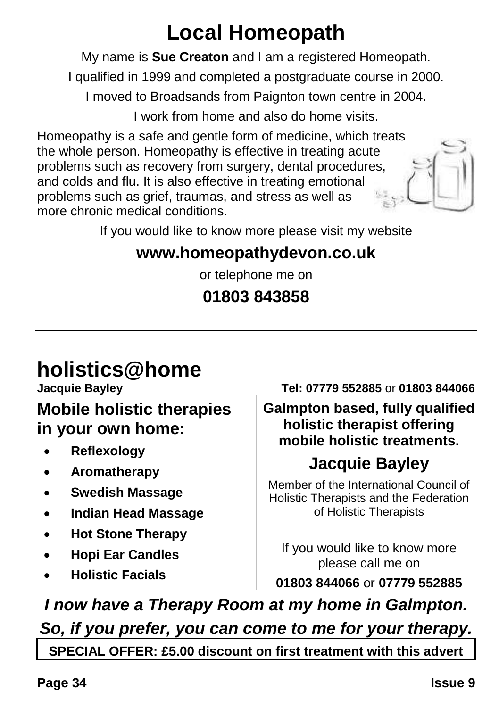# **Local Homeopath**

My name is **Sue Creaton** and I am a registered Homeopath.

I qualified in 1999 and completed a postgraduate course in 2000.

I moved to Broadsands from Paignton town centre in 2004.

I work from home and also do home visits.

Homeopathy is a safe and gentle form of medicine, which treats the whole person. Homeopathy is effective in treating acute problems such as recovery from surgery, dental procedures, and colds and flu. It is also effective in treating emotional problems such as grief, traumas, and stress as well as more chronic medical conditions.

If you would like to know more please visit my website

### **www.homeopathydevon.co.uk**

or telephone me on

## **01803 843858**

# **holistics@home**

## **Mobile holistic therapies in your own home:**

- **Reflexology**
- **Aromatherapy**
- **Swedish Massage**
- **Indian Head Massage**
- **Hot Stone Therapy**
- **Hopi Ear Candles**
- **Holistic Facials**

**Jacquie Bayley Tel: 07779 552885** or **01803 844066**

### **Galmpton based, fully qualified holistic therapist offering mobile holistic treatments.**

# **Jacquie Bayley**

Member of the International Council of Holistic Therapists and the Federation of Holistic Therapists

If you would like to know more please call me on

**01803 844066** or **07779 552885**

## *I now have a Therapy Room at my home in Galmpton.*

## *So, if you prefer, you can come to me for your therapy.*

**SPECIAL OFFER: £5.00 discount on first treatment with this advert**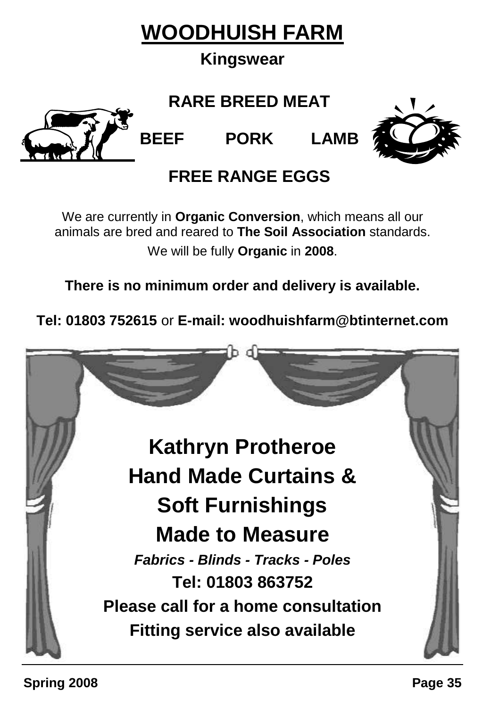# **WOODHUISH FARM**

## **Kingswear**

**RARE BREED MEAT**



**BEEF PORK LAMB**



## **FREE RANGE EGGS**

We are currently in **Organic Conversion**, which means all our animals are bred and reared to **The Soil Association** standards. We will be fully **Organic** in **2008**.

**There is no minimum order and delivery is available.**

**Tel: 01803 752615** or **E-mail: woodhuishfarm@btinternet.com**

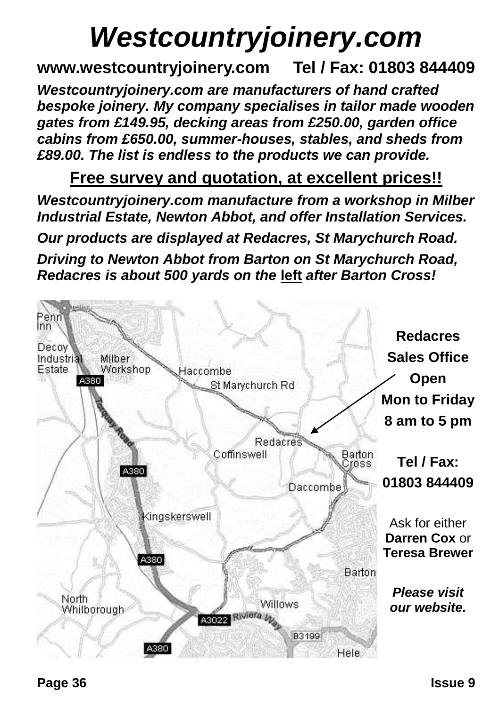# *Westcountryjoinery.com*

### **www.westcountryjoinery.com Tel / Fax: 01803 844409**

*Westcountryjoinery.com are manufacturers of hand crafted bespoke joinery. My company specialises in tailor made wooden gates from £149.95, decking areas from £250.00, garden office cabins from £650.00, summer-houses, stables, and sheds from £89.00. The list is endless to the products we can provide.*

**Free survey and quotation, at excellent prices!!**

*Westcountryjoinery.com manufacture from a workshop in Milber Industrial Estate, Newton Abbot, and offer Installation Services.*

*Our products are displayed at Redacres, St Marychurch Road.*

*Driving to Newton Abbot from Barton on St Marychurch Road, Redacres is about 500 yards on the* **left** *after Barton Cross!*

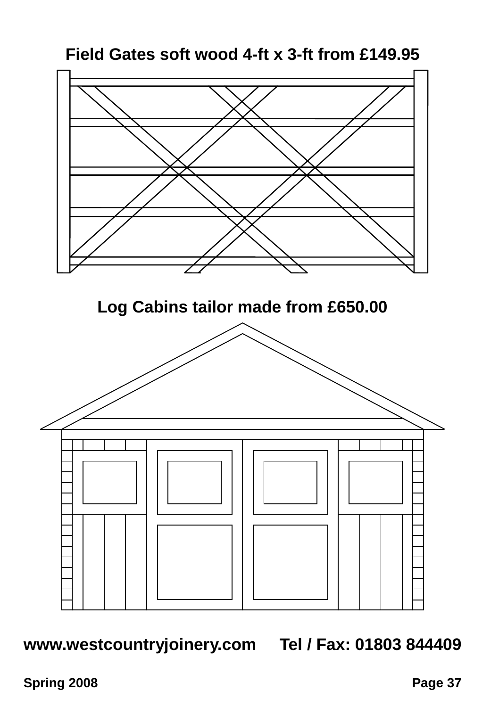**Field Gates soft wood 4-ft x 3-ft from £149.95**



**www.westcountryjoinery.com Tel / Fax: 01803 844409**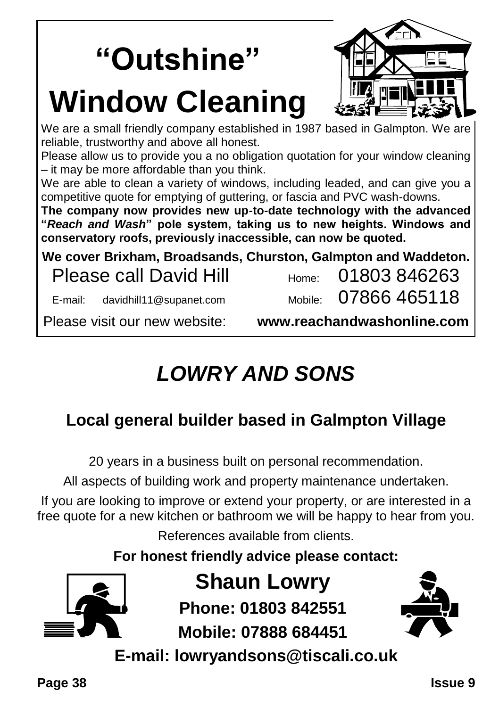# **"Outshine" Window Cleaning**



We are a small friendly company established in 1987 based in Galmpton. We are reliable, trustworthy and above all honest.

Please allow us to provide you a no obligation quotation for your window cleaning – it may be more affordable than you think.

We are able to clean a variety of windows, including leaded, and can give you a competitive quote for emptying of guttering, or fascia and PVC wash-downs.

**The company now provides new up-to-date technology with the advanced "***Reach and Wash***" pole system, taking us to new heights. Windows and conservatory roofs, previously inaccessible, can now be quoted.**

**We cover Brixham, Broadsands, Churston, Galmpton and Waddeton.** Please call David Hill  $_{\text{Home}}$  01803 846263

E-mail: davidhill11@supanet.com Mobile: 07866 465118

Please visit our new website: **www.reachandwashonline.com**

# *LOWRY AND SONS*

# **Local general builder based in Galmpton Village**

20 years in a business built on personal recommendation.

All aspects of building work and property maintenance undertaken.

If you are looking to improve or extend your property, or are interested in a free quote for a new kitchen or bathroom we will be happy to hear from you.

References available from clients.

### **For honest friendly advice please contact:**



# **Shaun Lowry**

**Phone: 01803 842551 Mobile: 07888 684451**

**E-mail: lowryandsons@tiscali.co.uk**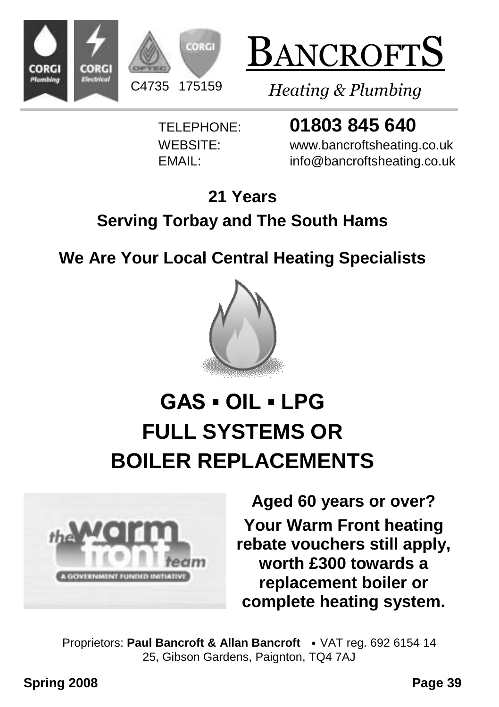



*Heating & Plumbing*

# TELEPHONE: **01803 845 640**

WEBSITE: www.bancroftsheating.co.uk EMAIL: info@bancroftsheating.co.uk

# **21 Years**

# **Serving Torbay and The South Hams**

# **We Are Your Local Central Heating Specialists**



# **GAS ▪ OIL ▪ LPG FULL SYSTEMS OR BOILER REPLACEMENTS**



**Aged 60 years or over? Your Warm Front heating rebate vouchers still apply, worth £300 towards a replacement boiler or complete heating system.**

Proprietors: **Paul Bancroft & Allan Bancroft** • VAT reg. 692 6154 14 25, Gibson Gardens, Paignton, TQ4 7AJ